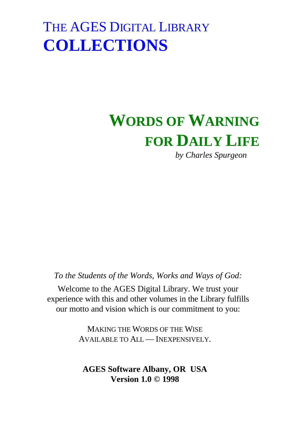# **WORDS OF WARNING FOR DAILY LIFE**

*by Charles Spurgeon*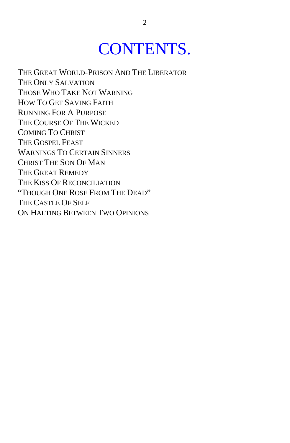#### CONTENTS.

THE GREAT WORLD-PRISON AND THE LIBERATOR THE ONLY SALVATION THOSE WHO TAKE NOT WARNING HOW TO GET SAVING FAITH RUNNING FOR A PURPOSE THE COURSE OF THE WICKED COMING TO CHRIST THE GOSPEL FEAST WARNINGS TO CERTAIN SINNERS CHRIST THE SON OF MAN THE GREAT REMEDY THE KISS OF RECONCILIATION "THOUGH ONE ROSE FROM THE DEAD" THE CASTLE OF SELF ON HALTING BETWEEN TWO OPINIONS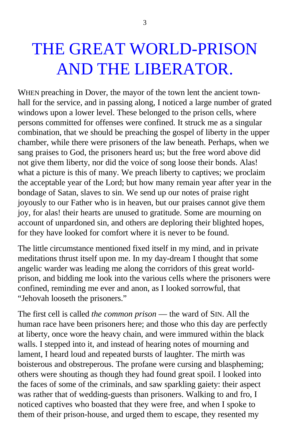# THE GREAT WORLD-PRISON AND THE LIBERATOR.

WHEN preaching in Dover, the mayor of the town lent the ancient townhall for the service, and in passing along, I noticed a large number of grated windows upon a lower level. These belonged to the prison cells, where persons committed for offenses were confined. It struck me as a singular combination, that we should be preaching the gospel of liberty in the upper chamber, while there were prisoners of the law beneath. Perhaps, when we sang praises to God, the prisoners heard us; but the free word above did not give them liberty, nor did the voice of song loose their bonds. Alas! what a picture is this of many. We preach liberty to captives; we proclaim the acceptable year of the Lord; but how many remain year after year in the bondage of Satan, slaves to sin. We send up our notes of praise right joyously to our Father who is in heaven, but our praises cannot give them joy, for alas! their hearts are unused to gratitude. Some are mourning on account of unpardoned sin, and others are deploring their blighted hopes, for they have looked for comfort where it is never to be found.

The little circumstance mentioned fixed itself in my mind, and in private meditations thrust itself upon me. In my day-dream I thought that some angelic warder was leading me along the corridors of this great worldprison, and bidding me look into the various cells where the prisoners were confined, reminding me ever and anon, as I looked sorrowful, that "Jehovah looseth the prisoners."

The first cell is called *the common prison* — the ward of SIN. All the human race have been prisoners here; and those who this day are perfectly at liberty, once wore the heavy chain, and were immured within the black walls. I stepped into it, and instead of hearing notes of mourning and lament, I heard loud and repeated bursts of laughter. The mirth was boisterous and obstreperous. The profane were cursing and blaspheming; others were shouting as though they had found great spoil. I looked into the faces of some of the criminals, and saw sparkling gaiety: their aspect was rather that of wedding-guests than prisoners. Walking to and fro, I noticed captives who boasted that they were free, and when I spoke to them of their prison-house, and urged them to escape, they resented my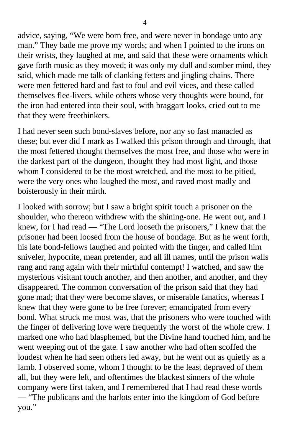advice, saying, "We were born free, and were never in bondage unto any man." They bade me prove my words; and when I pointed to the irons on their wrists, they laughed at me, and said that these were ornaments which gave forth music as they moved; it was only my dull and somber mind, they said, which made me talk of clanking fetters and jingling chains. There were men fettered hard and fast to foul and evil vices, and these called themselves flee-livers, while others whose very thoughts were bound, for the iron had entered into their soul, with braggart looks, cried out to me that they were freethinkers.

I had never seen such bond-slaves before, nor any so fast manacled as these; but ever did I mark as I walked this prison through and through, that the most fettered thought themselves the most free, and those who were in the darkest part of the dungeon, thought they had most light, and those whom I considered to be the most wretched, and the most to be pitied, were the very ones who laughed the most, and raved most madly and boisterously in their mirth.

I looked with sorrow; but I saw a bright spirit touch a prisoner on the shoulder, who thereon withdrew with the shining-one. He went out, and I knew, for I had read — "The Lord looseth the prisoners," I knew that the prisoner had been loosed from the house of bondage. But as he went forth, his late bond-fellows laughed and pointed with the finger, and called him sniveler, hypocrite, mean pretender, and all ill names, until the prison walls rang and rang again with their mirthful contempt! I watched, and saw the mysterious visitant touch another, and then another, and another, and they disappeared. The common conversation of the prison said that they had gone mad; that they were become slaves, or miserable fanatics, whereas I knew that they were gone to be free forever; emancipated from every bond. What struck me most was, that the prisoners who were touched with the finger of delivering love were frequently the worst of the whole crew. I marked one who had blasphemed, but the Divine hand touched him, and he went weeping out of the gate. I saw another who had often scoffed the loudest when he had seen others led away, but he went out as quietly as a lamb. I observed some, whom I thought to be the least depraved of them all, but they were left, and oftentimes the blackest sinners of the whole company were first taken, and I remembered that I had read these words — "The publicans and the harlots enter into the kingdom of God before you."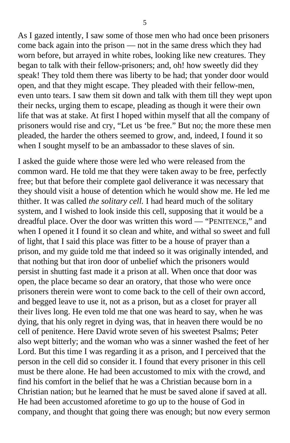As I gazed intently, I saw some of those men who had once been prisoners come back again into the prison — not in the same dress which they had worn before, but arrayed in white robes, looking like new creatures. They began to talk with their fellow-prisoners; and, oh! how sweetly did they speak! They told them there was liberty to be had; that yonder door would open, and that they might escape. They pleaded with their fellow-men, even unto tears. I saw them sit down and talk with them till they wept upon their necks, urging them to escape, pleading as though it were their own life that was at stake. At first I hoped within myself that all the company of prisoners would rise and cry, "Let us 'be free." But no; the more these men pleaded, the harder the others seemed to grow, and, indeed, I found it so when I sought myself to be an ambassador to these slaves of sin.

I asked the guide where those were led who were released from the common ward. He told me that they were taken away to be free, perfectly free; but that before their complete gaol deliverance it was necessary that they should visit a house of detention which he would show me. He led me thither. It was called *the solitary cell.* I had heard much of the solitary system, and I wished to look inside this cell, supposing that it would be a dreadful place. Over the door was written this word — "PENITENCE," and when I opened it I found it so clean and white, and withal so sweet and full of light, that I said this place was fitter to be a house of prayer than a prison, and my guide told me that indeed so it was originally intended, and that nothing but that iron door of unbelief which the prisoners would persist in shutting fast made it a prison at all. When once that door was open, the place became so dear an oratory, that those who were once prisoners therein were wont to come back to the cell of their own accord, and begged leave to use it, not as a prison, but as a closet for prayer all their lives long. He even told me that one was heard to say, when he was dying, that his only regret in dying was, that in heaven there would be no cell of penitence. Here David wrote seven of his sweetest Psalms; Peter also wept bitterly; and the woman who was a sinner washed the feet of her Lord. But this time I was regarding it as a prison, and I perceived that the person in the cell did so consider it. I found that every prisoner in this cell must be there alone. He had been accustomed to mix with the crowd, and find his comfort in the belief that he was a Christian because born in a Christian nation; but he learned that he must be saved alone if saved at all. He had been accustomed aforetime to go up to the house of God in company, and thought that going there was enough; but now every sermon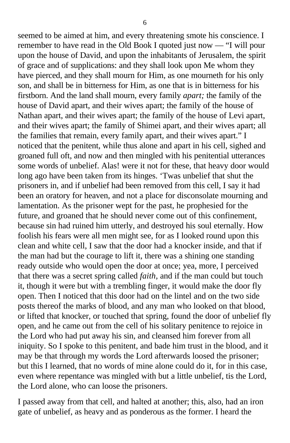seemed to be aimed at him, and every threatening smote his conscience. I remember to have read in the Old Book I quoted just now — "I will pour upon the house of David, and upon the inhabitants of Jerusalem, the spirit of grace and of supplications: and they shall look upon Me whom they have pierced, and they shall mourn for Him, as one mourneth for his only son, and shall be in bitterness for Him, as one that is in bitterness for his firstborn. And the land shall mourn, every family *apart;* the family of the house of David apart, and their wives apart; the family of the house of Nathan apart, and their wives apart; the family of the house of Levi apart, and their wives apart; the family of Shimei apart, and their wives apart; all the families that remain, every family apart, and their wives apart." I noticed that the penitent, while thus alone and apart in his cell, sighed and groaned full oft, and now and then mingled with his penitential utterances some words of unbelief. Alas! were it not for these, that heavy door would long ago have been taken from its hinges. 'Twas unbelief that shut the prisoners in, and if unbelief had been removed from this cell, I say it had been an oratory for heaven, and not a place for disconsolate mourning and lamentation. As the prisoner wept for the past, he prophesied for the future, and groaned that he should never come out of this confinement, because sin had ruined him utterly, and destroyed his soul eternally. How foolish his fears were all men might see, for as I looked round upon this clean and white cell, I saw that the door had a knocker inside, and that if the man had but the courage to lift it, there was a shining one standing ready outside who would open the door at once; yea, more, I perceived that there was a secret spring called *faith,* and if the man could but touch it, though it were but with a trembling finger, it would make the door fly open. Then I noticed that this door had on the lintel and on the two side posts thereof the marks of blood, and any man who looked on that blood, or lifted that knocker, or touched that spring, found the door of unbelief fly open, and he came out from the cell of his solitary penitence to rejoice in the Lord who had put away his sin, and cleansed him forever from all iniquity. So I spoke to this penitent, and bade him trust in the blood, and it may be that through my words the Lord afterwards loosed the prisoner; but this I learned, that no words of mine alone could do it, for in this case, even where repentance was mingled with but a little unbelief, tis the Lord, the Lord alone, who can loose the prisoners.

I passed away from that cell, and halted at another; this, also, had an iron gate of unbelief, as heavy and as ponderous as the former. I heard the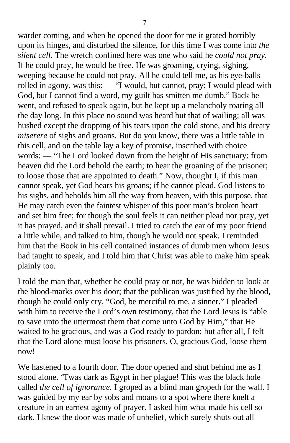warder coming, and when he opened the door for me it grated horribly upon its hinges, and disturbed the silence, for this time I was come into *the silent cell.* The wretch confined here was one who said he *could not pray.* If he could pray, he would be free. He was groaning, crying, sighing, weeping because he could not pray. All he could tell me, as his eye-balls rolled in agony, was this: — "I would, but cannot, pray; I would plead with God, but I cannot find a word, my guilt has smitten me dumb." Back he went, and refused to speak again, but he kept up a melancholy roaring all the day long. In this place no sound was heard but that of wailing; all was hushed except the dropping of his tears upon the cold stone, and his dreary *miserere* of sighs and groans. But do you know, there was a little table in this cell, and on the table lay a key of promise, inscribed with choice words: — "The Lord looked down from the height of His sanctuary: from heaven did the Lord behold the earth; to hear the groaning of the prisoner; to loose those that are appointed to death." Now, thought I, if this man cannot speak, yet God hears his groans; if he cannot plead, God listens to his sighs, and beholds him all the way from heaven, with this purpose, that He may catch even the faintest whisper of this poor man's broken heart and set him free; for though the soul feels it can neither plead nor pray, yet it has prayed, and it shall prevail. I tried to catch the ear of my poor friend a little while, and talked to him, though he would not speak. I reminded him that the Book in his cell contained instances of dumb men whom Jesus had taught to speak, and I told him that Christ was able to make him speak plainly too.

I told the man that, whether he could pray or not, he was bidden to look at the blood-marks over his door; that the publican was justified by the blood, though he could only cry, "God, be merciful to me, a sinner." I pleaded with him to receive the Lord's own testimony, that the Lord Jesus is "able to save unto the uttermost them that come unto God by Him," that He waited to be gracious, and was a God ready to pardon; but after all, I felt that the Lord alone must loose his prisoners. O, gracious God, loose them now!

We hastened to a fourth door. The door opened and shut behind me as I stood alone. 'Twas dark as Egypt in her plague! This was the black hole called *the cell of ignorance.* I groped as a blind man gropeth for the wall. I was guided by my ear by sobs and moans to a spot where there knelt a creature in an earnest agony of prayer. I asked him what made his cell so dark. I knew the door was made of unbelief, which surely shuts out all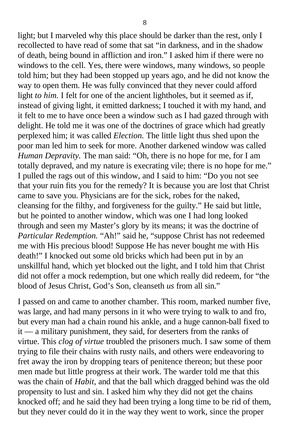light; but I marveled why this place should be darker than the rest, only I recollected to have read of some that sat "in darkness, and in the shadow of death, being bound in affliction and iron." I asked him if there were no windows to the cell. Yes, there were windows, many windows, so people told him; but they had been stopped up years ago, and he did not know the way to open them. He was fully convinced that they never could afford light *to him*. I felt for one of the ancient lightholes, but it seemed as if, instead of giving light, it emitted darkness; I touched it with my hand, and it felt to me to have once been a window such as I had gazed through with delight. He told me it was one of the doctrines of grace which had greatly perplexed him; it was called *Election.* The little light thus shed upon the poor man led him to seek for more. Another darkened window was called *Human Depravity.* The man said: "Oh, there is no hope for me, for I am totally depraved, and my nature is execrating vile; there is no hope for me." I pulled the rags out of this window, and I said to him: "Do you not see that your ruin fits you for the remedy? It is because you are lost that Christ came to save you. Physicians are for the sick, robes for the naked, cleansing for the filthy, and forgiveness for the guilty." He said but little, but he pointed to another window, which was one I had long looked through and seen my Master's glory by its means; it was the doctrine of *Particular Redemption.* "Ah!" said he, "suppose Christ has not redeemed me with His precious blood! Suppose He has never bought me with His death!" I knocked out some old bricks which had been put in by an unskillful hand, which yet blocked out the light, and I told him that Christ did not offer a mock redemption, but one which really did redeem, for "the blood of Jesus Christ, God's Son, cleanseth *us* from all sin."

I passed on and came to another chamber. This room, marked number five, was large, and had many persons in it who were trying to walk to and fro, but every man had a chain round his ankle, and a huge cannon-ball fixed to it — a military punishment, they said, for deserters from the ranks of virtue. This *clog of virtue* troubled the prisoners much. I saw some of them trying to file their chains with rusty nails, and others were endeavoring to fret away the iron by dropping tears of penitence thereon; but these poor men made but little progress at their work. The warder told me that this was the chain of *Habit,* and that the ball which dragged behind was the old propensity to lust and sin. I asked him why they did not get the chains knocked off; and he said they had been trying a long time to be rid of them, but they never could do it in the way they went to work, since the proper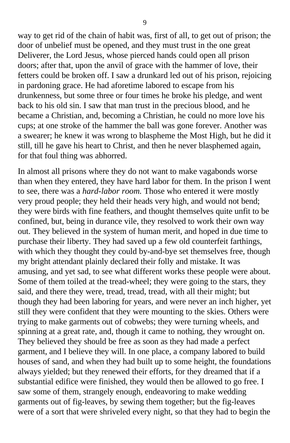way to get rid of the chain of habit was, first of all, to get out of prison; the door of unbelief must be opened, and they must trust in the one great Deliverer, the Lord Jesus, whose pierced hands could open all prison doors; after that, upon the anvil of grace with the hammer of love, their fetters could be broken off. I saw a drunkard led out of his prison, rejoicing in pardoning grace. He had aforetime labored to escape from his drunkenness, but some three or four times he broke his pledge, and went back to his old sin. I saw that man trust in the precious blood, and he became a Christian, and, becoming a Christian, he could no more love his cups; at one stroke of the hammer the ball was gone forever. Another was a swearer; he knew it was wrong to blaspheme the Most High, but he did it still, till he gave his heart to Christ, and then he never blasphemed again, for that foul thing was abhorred.

In almost all prisons where they do not want to make vagabonds worse than when they entered, they have hard labor for them. In the prison I went to see, there was a *hard-labor room.* Those who entered it were mostly very proud people; they held their heads very high, and would not bend; they were birds with fine feathers, and thought themselves quite unfit to be confined, but, being in durance vile, they resolved to work their own way out. They believed in the system of human merit, and hoped in due time to purchase their liberty. They had saved up a few old counterfeit farthings, with which they thought they could by-and-bye set themselves free, though my bright attendant plainly declared their folly and mistake. It was amusing, and yet sad, to see what different works these people were about. Some of them toiled at the tread-wheel; they were going to the stars, they said, and there they were, tread, tread, tread, with all their might; but though they had been laboring for years, and were never an inch higher, yet still they were confident that they were mounting to the skies. Others were trying to make garments out of cobwebs; they were turning wheels, and spinning at a great rate, and, though it came to nothing, they wrought on. They believed they should be free as soon as they had made a perfect garment, and I believe they will. In one place, a company labored to build houses of sand, and when they had built up to some height, the foundations always yielded; but they renewed their efforts, for they dreamed that if a substantial edifice were finished, they would then be allowed to go free. I saw some of them, strangely enough, endeavoring to make wedding garments out of fig-leaves, by sewing them together; but the fig-leaves were of a sort that were shriveled every night, so that they had to begin the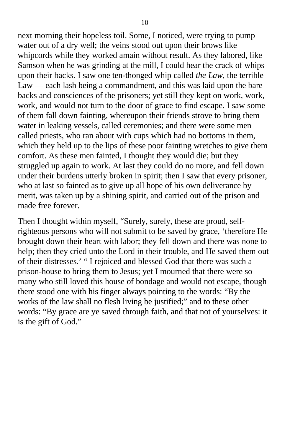next morning their hopeless toil. Some, I noticed, were trying to pump water out of a dry well; the veins stood out upon their brows like whipcords while they worked amain without result. As they labored, like Samson when he was grinding at the mill, I could hear the crack of whips upon their backs. I saw one ten-thonged whip called *the Law,* the terrible Law — each lash being a commandment, and this was laid upon the bare backs and consciences of the prisoners; yet still they kept on work, work, work, and would not turn to the door of grace to find escape. I saw some of them fall down fainting, whereupon their friends strove to bring them water in leaking vessels, called ceremonies; and there were some men called priests, who ran about with cups which had no bottoms in them, which they held up to the lips of these poor fainting wretches to give them comfort. As these men fainted, I thought they would die; but they struggled up again to work. At last they could do no more, and fell down under their burdens utterly broken in spirit; then I saw that every prisoner, who at last so fainted as to give up all hope of his own deliverance by merit, was taken up by a shining spirit, and carried out of the prison and made free forever.

Then I thought within myself, "Surely, surely, these are proud, selfrighteous persons who will not submit to be saved by grace, 'therefore He brought down their heart with labor; they fell down and there was none to help; then they cried unto the Lord in their trouble, and He saved them out of their distresses.' " I rejoiced and blessed God that there was such a prison-house to bring them to Jesus; yet I mourned that there were so many who still loved this house of bondage and would not escape, though there stood one with his finger always pointing to the words: "By the works of the law shall no flesh living be justified;" and to these other words: "By grace are ye saved through faith, and that not of yourselves: it is the gift of God."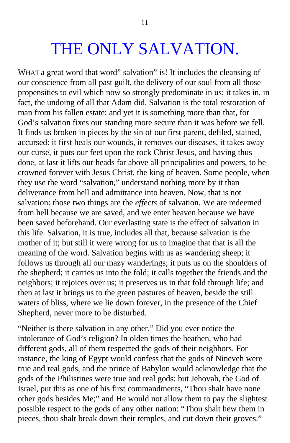#### THE ONLY SALVATION.

WHAT a great word that word" salvation" is! It includes the cleansing of our conscience from all past guilt, the delivery of our soul from all those propensities to evil which now so strongly predominate in us; it takes in, in fact, the undoing of all that Adam did. Salvation is the total restoration of man from his fallen estate; and yet it is something more than that, for God's salvation fixes our standing more secure than it was before we fell. It finds us broken in pieces by the sin of our first parent, defiled, stained, accursed: it first heals our wounds, it removes our diseases, it takes away our curse, it puts our feet upon the rock Christ Jesus, and having thus done, at last it lifts our heads far above all principalities and powers, to be crowned forever with Jesus Christ, the king of heaven. Some people, when they use the word "salvation," understand nothing more by it than deliverance from hell and admittance into heaven. Now, that is not salvation: those two things are the *effects* of salvation. We are redeemed from hell because we are saved, and we enter heaven because we have been saved beforehand. Our everlasting state is the effect of salvation in this life. Salvation, it is true, includes all that, because salvation is the mother of it; but still it were wrong for us to imagine that that is all the meaning of the word. Salvation begins with us as wandering sheep; it follows us through all our mazy wanderings; it puts us on the shoulders of the shepherd; it carries us into the fold; it calls together the friends and the neighbors; it rejoices over us; it preserves us in that fold through life; and then at last it brings us to the green pastures of heaven, beside the still waters of bliss, where we lie down forever, in the presence of the Chief Shepherd, never more to be disturbed.

"Neither is there salvation in any other." Did you ever notice the intolerance of God's religion? In olden times the heathen, who had different gods, all of them respected the gods of their neighbors. For instance, the king of Egypt would confess that the gods of Nineveh were true and real gods, and the prince of Babylon would acknowledge that the gods of the Philistines were true and real gods: but Jehovah, the God of Israel, put this as one of his first commandments, "Thou shalt have none other gods besides Me;" and He would not allow them to pay the slightest possible respect to the gods of any other nation: "Thou shalt hew them in pieces, thou shalt break down their temples, and cut down their groves."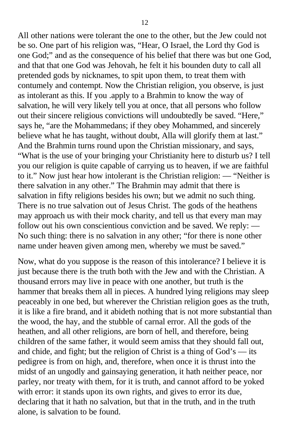All other nations were tolerant the one to the other, but the Jew could not be so. One part of his religion was, "Hear, O Israel, the Lord thy God is one God;" and as the consequence of his belief that there was but one God, and that that one God was Jehovah, he felt it his bounden duty to call all pretended gods by nicknames, to spit upon them, to treat them with contumely and contempt. Now the Christian religion, you observe, is just as intolerant as this. If you .apply to a Brahmin to know the way of salvation, he will very likely tell you at once, that all persons who follow out their sincere religious convictions will undoubtedly be saved. "Here," says he, "are the Mohammedans; if they obey Mohammed, and sincerely believe what he has taught, without doubt, Alla will glorify them at last." And the Brahmin turns round upon the Christian missionary, and says, "What is the use of your bringing your Christianity here to disturb us? I tell you our religion is quite capable of carrying us to heaven, if we are faithful to it." Now just hear how intolerant is the Christian religion: — "Neither is there salvation in any other." The Brahmin may admit that there is salvation in fifty religions besides his own; but we admit no such thing. There is no true salvation out of Jesus Christ. The gods of the heathens may approach us with their mock charity, and tell us that every man may follow out his own conscientious conviction and be saved. We reply: — No such thing: there is no salvation in any other; "for there is none other name under heaven given among men, whereby we must be saved."

Now, what do you suppose is the reason of this intolerance? I believe it is just because there is the truth both with the Jew and with the Christian. A thousand errors may live in peace with one another, but truth is the hammer that breaks them all in pieces. A hundred lying religions may sleep peaceably in one bed, but wherever the Christian religion goes as the truth, it is like a fire brand, and it abideth nothing that is not more substantial than the wood, the hay, and the stubble of carnal error. All the gods of the heathen, and all other religions, are born of hell, and therefore, being children of the same father, it would seem amiss that they should fall out, and chide, and fight; but the religion of Christ is a thing of  $God's$  — its pedigree is from on high, and, therefore, when once it is thrust into the midst of an ungodly and gainsaying generation, it hath neither peace, nor parley, nor treaty with them, for it is truth, and cannot afford to be yoked with error: it stands upon its own rights, and gives to error its due, declaring that it hath no salvation, but that in the truth, and in the truth alone, is salvation to be found.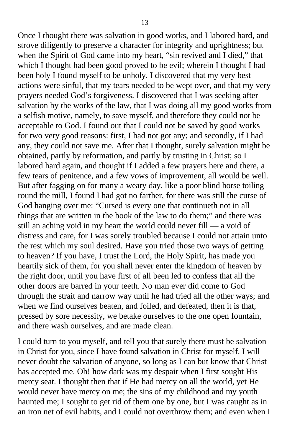Once I thought there was salvation in good works, and I labored hard, and strove diligently to preserve a character for integrity and uprightness; but when the Spirit of God came into my heart, "sin revived and I died," that which I thought had been good proved to be evil; wherein I thought I had been holy I found myself to be unholy. I discovered that my very best actions were sinful, that my tears needed to be wept over, and that my very prayers needed God's forgiveness. I discovered that I was seeking after salvation by the works of the law, that I was doing all my good works from a selfish motive, namely, to save myself, and therefore they could not be acceptable to God. I found out that I could not be saved by good works for two very good reasons: first, I had not got any; and secondly, if I had any, they could not save me. After that I thought, surely salvation might be obtained, partly by reformation, and partly by trusting in Christ; so I labored hard again, and thought if I added a few prayers here and there, a few tears of penitence, and a few vows of improvement, all would be well. But after fagging on for many a weary day, like a poor blind horse toiling round the mill, I found I had got no farther, for there was still the curse of God hanging over me: "Cursed is every one that continueth not in all things that are written in the book of the law to do them;" and there was still an aching void in my heart the world could never fill — a void of distress and care, for I was sorely troubled because I could not attain unto the rest which my soul desired. Have you tried those two ways of getting to heaven? If you have, I trust the Lord, the Holy Spirit, has made you heartily sick of them, for you shall never enter the kingdom of heaven by the right door, until you have first of all been led to confess that all the other doors are barred in your teeth. No man ever did come to God through the strait and narrow way until he had tried all the other ways; and when we find ourselves beaten, and foiled, and defeated, then it is that, pressed by sore necessity, we betake ourselves to the one open fountain, and there wash ourselves, and are made clean.

I could turn to you myself, and tell you that surely there must be salvation in Christ for you, since I have found salvation in Christ for myself. I will never doubt the salvation of anyone, so long as I can but know that Christ has accepted me. Oh! how dark was my despair when I first sought His mercy seat. I thought then that if He had mercy on all the world, yet He would never have mercy on me; the sins of my childhood and my youth haunted me; I sought to get rid of them one by one, but I was caught as in an iron net of evil habits, and I could not overthrow them; and even when I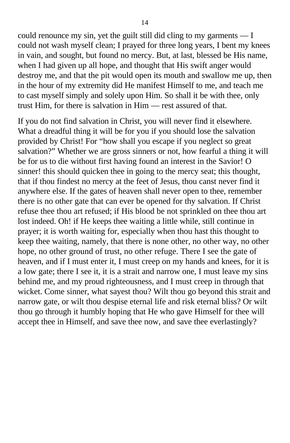could renounce my sin, yet the guilt still did cling to my garments — I could not wash myself clean; I prayed for three long years, I bent my knees in vain, and sought, but found no mercy. But, at last, blessed be His name, when I had given up all hope, and thought that His swift anger would destroy me, and that the pit would open its mouth and swallow me up, then in the hour of my extremity did He manifest Himself to me, and teach me to cast myself simply and solely upon Him. So shall it be with thee, only trust Him, for there is salvation in Him — rest assured of that.

If you do not find salvation in Christ, you will never find it elsewhere. What a dreadful thing it will be for you if you should lose the salvation provided by Christ! For "how shall you escape if you neglect so great salvation?" Whether we are gross sinners or not, how fearful a thing it will be for us to die without first having found an interest in the Savior! O sinner! this should quicken thee in going to the mercy seat; this thought, that if thou findest no mercy at the feet of Jesus, thou canst never find it anywhere else. If the gates of heaven shall never open to thee, remember there is no other gate that can ever be opened for thy salvation. If Christ refuse thee thou art refused; if His blood be not sprinkled on thee thou art lost indeed. Oh! if He keeps thee waiting a little while, still continue in prayer; it is worth waiting for, especially when thou hast this thought to keep thee waiting, namely, that there is none other, no other way, no other hope, no other ground of trust, no other refuge. There I see the gate of heaven, and if I must enter it, I must creep on my hands and knees, for it is a low gate; there I see it, it is a strait and narrow one, I must leave my sins behind me, and my proud righteousness, and I must creep in through that wicket. Come sinner, what sayest thou? Wilt thou go beyond this strait and narrow gate, or wilt thou despise eternal life and risk eternal bliss? Or wilt thou go through it humbly hoping that He who gave Himself for thee will accept thee in Himself, and save thee now, and save thee everlastingly?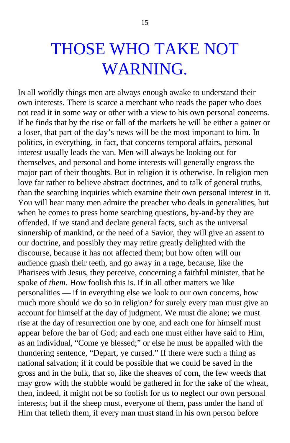## THOSE WHO TAKE NOT WARNING.

IN all worldly things men are always enough awake to understand their own interests. There is scarce a merchant who reads the paper who does not read it in some way or other with a view to his own personal concerns. If he finds that by the rise or fall of the markets he will be either a gainer or a loser, that part of the day's news will be the most important to him. In politics, in everything, in fact, that concerns temporal affairs, personal interest usually leads the van. Men will always be looking out for themselves, and personal and home interests will generally engross the major part of their thoughts. But in religion it is otherwise. In religion men love far rather to believe abstract doctrines, and to talk of general truths, than the searching inquiries which examine their own personal interest in it. You will hear many men admire the preacher who deals in generalities, but when he comes to press home searching questions, by-and-by they are offended. If we stand and declare general facts, such as the universal sinnership of mankind, or the need of a Savior, they will give an assent to our doctrine, and possibly they may retire greatly delighted with the discourse, because it has not affected them; but how often will our audience gnash their teeth, and go away in a rage, because, like the Pharisees with Jesus, they perceive, concerning a faithful minister, that he spoke of *them.* How foolish this is. If in all other matters we like personalities — if in everything else we look to our own concerns, how much more should we do so in religion? for surely every man must give an account for himself at the day of judgment. We must die alone; we must rise at the day of resurrection one by one, and each one for himself must appear before the bar of God; and each one must either have said to Him, as an individual, "Come ye blessed;" or else he must be appalled with the thundering sentence, "Depart, ye cursed." If there were such a thing as national salvation; if it could be possible that we could be saved in the gross and in the bulk, that so, like the sheaves of corn, the few weeds that may grow with the stubble would be gathered in for the sake of the wheat, then, indeed, it might not be so foolish for us to neglect our own personal interests; but if the sheep must, everyone of them, pass under the hand of Him that telleth them, if every man must stand in his own person before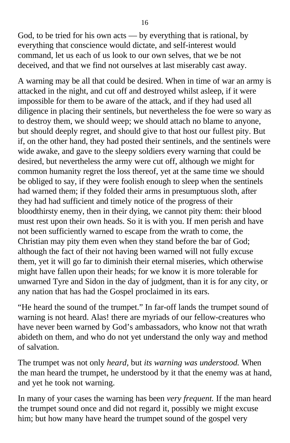God, to be tried for his own acts — by everything that is rational, by everything that conscience would dictate, and self-interest would command, let us each of us look to our own selves, that we be not deceived, and that we find not ourselves at last miserably cast away.

A warning may be all that could be desired. When in time of war an army is attacked in the night, and cut off and destroyed whilst asleep, if it were impossible for them to be aware of the attack, and if they had used all diligence in placing their sentinels, but nevertheless the foe were so wary as to destroy them, we should weep; we should attach no blame to anyone, but should deeply regret, and should give to that host our fullest pity. But if, on the other hand, they had posted their sentinels, and the sentinels were wide awake, and gave to the sleepy soldiers every warning that could be desired, but nevertheless the army were cut off, although we might for common humanity regret the loss thereof, yet at the same time we should be obliged to say, if they were foolish enough to sleep when the sentinels had warned them; if they folded their arms in presumptuous sloth, after they had had sufficient and timely notice of the progress of their bloodthirsty enemy, then in their dying, we cannot pity them: their blood must rest upon their own heads. So it is with you. If men perish and have not been sufficiently warned to escape from the wrath to come, the Christian may pity them even when they stand before the bar of God; although the fact of their not having been warned will not fully excuse them, yet it will go far to diminish their eternal miseries, which otherwise might have fallen upon their heads; for we know it is more tolerable for unwarned Tyre and Sidon in the day of judgment, than it is for any city, or any nation that has had the Gospel proclaimed in its ears.

"He heard the sound of the trumpet." In far-off lands the trumpet sound of warning is not heard. Alas! there are myriads of our fellow-creatures who have never been warned by God's ambassadors, who know not that wrath abideth on them, and who do not yet understand the only way and method of salvation.

The trumpet was not only *heard,* but *its warning was understood.* When the man heard the trumpet, he understood by it that the enemy was at hand, and yet he took not warning.

In many of your cases the warning has been *very frequent.* If the man heard the trumpet sound once and did not regard it, possibly we might excuse him; but how many have heard the trumpet sound of the gospel very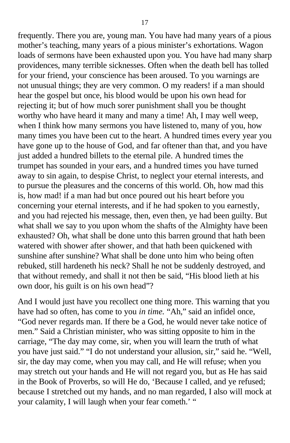frequently. There you are, young man. You have had many years of a pious mother's teaching, many years of a pious minister's exhortations. Wagon loads of sermons have been exhausted upon you. You have had many sharp providences, many terrible sicknesses. Often when the death bell has tolled for your friend, your conscience has been aroused. To you warnings are not unusual things; they are very common. O my readers! if a man should hear the gospel but once, his blood would be upon his own head for rejecting it; but of how much sorer punishment shall you be thought worthy who have heard it many and many a time! Ah, I may well weep, when I think how many sermons you have listened to, many of you, how many times you have been cut to the heart. A hundred times every year you have gone up to the house of God, and far oftener than that, and you have just added a hundred billets to the eternal pile. A hundred times the trumpet has sounded in your ears, and a hundred times you have turned away to sin again, to despise Christ, to neglect your eternal interests, and to pursue the pleasures and the concerns of this world. Oh, how mad this is, how mad! if a man had but once poured out his heart before you concerning your eternal interests, and if he had spoken to you earnestly, and you had rejected his message, then, even then, ye had been guilty. But what shall we say to you upon whom the shafts of the Almighty have been exhausted? Oh, what shall be done unto this barren ground that hath been watered with shower after shower, and that hath been quickened with sunshine after sunshine? What shall be done unto him who being often rebuked, still hardeneth his neck? Shall he not be suddenly destroyed, and that without remedy, and shall it not then be said, "His blood lieth at his own door, his guilt is on his own head"?

And I would just have you recollect one thing more. This warning that you have had so often, has come to you *in time*. "Ah," said an infidel once, "God never regards man. If there be a God, he would never take notice of men." Said a Christian minister, who was sitting opposite to him in the carriage, "The day may come, sir, when you will learn the truth of what you have just said." "I do not understand your allusion, sir," said he. "Well, sir, the day may come, when you may call, and He will refuse; when you may stretch out your hands and He will not regard you, but as He has said in the Book of Proverbs, so will He do, 'Because I called, and ye refused; because I stretched out my hands, and no man regarded, I also will mock at your calamity, I will laugh when your fear cometh.' "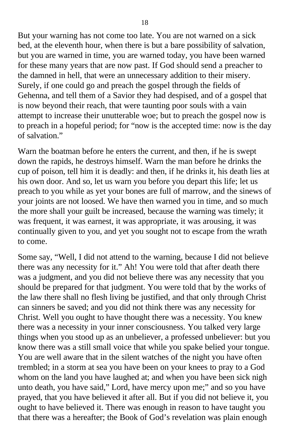But your warning has not come too late. You are not warned on a sick bed, at the eleventh hour, when there is but a bare possibility of salvation, but you are warned in time, you are warned today, you have been warned for these many years that are now past. If God should send a preacher to the damned in hell, that were an unnecessary addition to their misery. Surely, if one could go and preach the gospel through the fields of Gehenna, and tell them of a Savior they had despised, and of a gospel that is now beyond their reach, that were taunting poor souls with a vain attempt to increase their unutterable woe; but to preach the gospel now is to preach in a hopeful period; for "now is the accepted time: now is the day of salvation."

Warn the boatman before he enters the current, and then, if he is swept down the rapids, he destroys himself. Warn the man before he drinks the cup of poison, tell him it is deadly: and then, if he drinks it, his death lies at his own door. And so, let us warn you before you depart this life; let us preach to you while as yet your bones are full of marrow, and the sinews of your joints are not loosed. We have then warned you in time, and so much the more shall your guilt be increased, because the warning was timely; it was frequent, it was earnest, it was appropriate, it was arousing, it was continually given to you, and yet you sought not to escape from the wrath to come.

Some say, "Well, I did not attend to the warning, because I did not believe there was any necessity for it." Ah! You were told that after death there was a judgment, and you did not believe there was any necessity that you should be prepared for that judgment. You were told that by the works of the law there shall no flesh living be justified, and that only through Christ can sinners be saved; and you did not think there was any necessity for Christ. Well you ought to have thought there was a necessity. You knew there was a necessity in your inner consciousness. You talked very large things when you stood up as an unbeliever, a professed unbeliever: but you know there was a still small voice that while you spake belied your tongue. You are well aware that in the silent watches of the night you have often trembled; in a storm at sea you have been on your knees to pray to a God whom on the land you have laughed at; and when you have been sick nigh unto death, you have said," Lord, have mercy upon me;" and so you have prayed, that you have believed it after all. But if you did not believe it, you ought to have believed it. There was enough in reason to have taught you that there was a hereafter; the Book of God's revelation was plain enough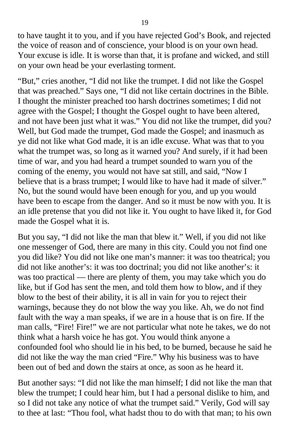to have taught it to you, and if you have rejected God's Book, and rejected the voice of reason and of conscience, your blood is on your own head. Your excuse is idle. It is worse than that, it is profane and wicked, and still on your own head be your everlasting torment.

"But," cries another, "I did not like the trumpet. I did not like the Gospel that was preached." Says one, "I did not like certain doctrines in the Bible. I thought the minister preached too harsh doctrines sometimes; I did not agree with the Gospel; I thought the Gospel ought to have been altered, and not have been just what it was." You did not like the trumpet, did you? Well, but God made the trumpet, God made the Gospel; and inasmuch as ye did not like what God made, it is an idle excuse. What was that to you what the trumpet was, so long as it warned you? And surely, if it had been time of war, and you had heard a trumpet sounded to warn you of the coming of the enemy, you would not have sat still, and said, "Now I believe that is a brass trumpet; I would like to have had it made of silver." No, but the sound would have been enough for you, and up you would have been to escape from the danger. And so it must be now with you. It is an idle pretense that you did not like it. You ought to have liked it, for God made the Gospel what it is.

But you say, "I did not like the man that blew it." Well, if you did not like one messenger of God, there are many in this city. Could you not find one you did like? You did not like one man's manner: it was too theatrical; you did not like another's: it was too doctrinal; you did not like another's: it was too practical — there are plenty of them, you may take which you do like, but if God has sent the men, and told them how to blow, and if they blow to the best of their ability, it is all in vain for you to reject their warnings, because they do not blow the way you like. Ah, we do not find fault with the way a man speaks, if we are in a house that is on fire. If the man calls, "Fire! Fire!" we are not particular what note he takes, we do not think what a harsh voice he has got. You would think anyone a confounded fool who should lie in his bed, to be burned, because he said he did not like the way the man cried "Fire." Why his business was to have been out of bed and down the stairs at once, as soon as he heard it.

But another says: "I did not like the man himself; I did not like the man that blew the trumpet; I could hear him, but I had a personal dislike to him, and so I did not take any notice of what the trumpet said." Verily, God will say to thee at last: "Thou fool, what hadst thou to do with that man; to his own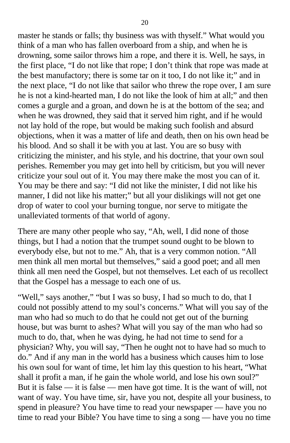master he stands or falls; thy business was with thyself." What would you think of a man who has fallen overboard from a ship, and when he is drowning, some sailor throws him a rope, and there it is. Well, he says, in the first place, "I do not like that rope; I don't think that rope was made at the best manufactory; there is some tar on it too, I do not like it;" and in the next place, "I do not like that sailor who threw the rope over, I am sure he is not a kind-hearted man, I do not like the look of him at all;" and then comes a gurgle and a groan, and down he is at the bottom of the sea; and when he was drowned, they said that it served him right, and if he would not lay hold of the rope, but would be making such foolish and absurd objections, when it was a matter of life and death, then on his own head be his blood. And so shall it be with you at last. You are so busy with criticizing the minister, and his style, and his doctrine, that your own soul perishes. Remember you may get into hell by criticism, but you will never criticize your soul out of it. You may there make the most you can of it. You may be there and say: "I did not like the minister, I did not like his manner, I did not like his matter;" but all your dislikings will not get one drop of water to cool your burning tongue, nor serve to mitigate the unalleviated torments of that world of agony.

There are many other people who say, "Ah, well, I did none of those things, but I had a notion that the trumpet sound ought to be blown to everybody else, but not to me." Ah, that is a very common notion. "All men think all men mortal but themselves," said a good poet; and all men think all men need the Gospel, but not themselves. Let each of us recollect that the Gospel has a message to each one of us.

"Well," says another," "but I was so busy, I had so much to do, that I could not possibly attend to my soul's concerns." What will you say of the man who had so much to do that he could not get out of the burning house, but was burnt to ashes? What will you say of the man who had so much to do, that, when he was dying, he had not time to send for a physician? Why, you will say, "Then he ought not to have had so much to do." And if any man in the world has a business which causes him to lose his own soul for want of time, let him lay this question to his heart, "What shall it profit a man, if he gain the whole world, and lose his own soul?" But it is false — it is false — men have got time. It is the want of will, not want of way. You have time, sir, have you not, despite all your business, to spend in pleasure? You have time to read your newspaper — have you no time to read your Bible? You have time to sing a song — have you no time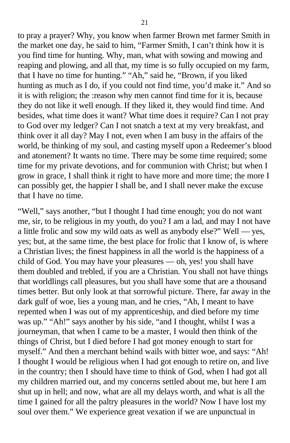to pray a prayer? Why, you know when farmer Brown met farmer Smith in the market one day, he said to him, "Farmer Smith, I can't think how it is you find time for hunting. Why, man, what with sowing and mowing and reaping and plowing, and all that, my time is so fully occupied on my farm, that I have no time for hunting." "Ah," said he, "Brown, if you liked hunting as much as I do, if you could not find time, you'd make it." And so it is with religion; the :reason why men cannot find time for it is, because they do not like it well enough. If they liked it, they would find time. And besides, what time does it want? What time does it require? Can I not pray to God over my ledger? Can I not snatch a text at my very breakfast, and think over it all day? May I not, even when I am busy in the affairs of the world, be thinking of my soul, and casting myself upon a Redeemer's blood and atonement? It wants no time. There may be some time required; some time for my private devotions, and for communion with Christ; but when I grow in grace, I shall think it right to have more and more time; the more I can possibly get, the happier I shall be, and I shall never make the excuse that I have no time.

"Well," says another, "but I thought I had time enough; you do not want me, sir, to be religious in my youth, do you? I am a lad, and may I not have a little frolic and sow my wild oats as well as anybody else?" Well — yes, yes; but, at the same time, the best place for frolic that I know of, is where a Christian lives; the finest happiness in all the world is the happiness of a child of God. You may have your pleasures — oh, yes! you shall have them doubled and trebled, if you are a Christian. You shall not have things that worldlings call pleasures, but you shall have some that are a thousand times better. But only look at that sorrowful picture. There, far away in the dark gulf of woe, lies a young man, and he cries, "Ah, I meant to have repented when I was out of my apprenticeship, and died before my time was up." "Ah!" says another by his side, "and I thought, whilst I was a journeyman, that when I came to be a master, I would then think of the things of Christ, but I died before I had got money enough to start for myself." And then a merchant behind wails with bitter woe, and says: "Ah! I thought I would be religious when I had got enough to retire on, and live in the country; then I should have time to think of God, when I had got all my children married out, and my concerns settled about me, but here I am shut up in hell; and now, what are all my delays worth, and what is all the time I gained for all the paltry pleasures in the world? Now I have lost my soul over them." We experience great vexation if we are unpunctual in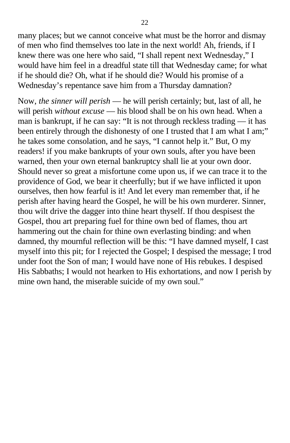many places; but we cannot conceive what must be the horror and dismay of men who find themselves too late in the next world! Ah, friends, if I knew there was one here who said, "I shall repent next Wednesday," I would have him feel in a dreadful state till that Wednesday came; for what if he should die? Oh, what if he should die? Would his promise of a Wednesday's repentance save him from a Thursday damnation?

Now, *the sinner will perish* — he will perish certainly; but, last of all, he will perish *without excuse* — his blood shall be on his own head. When a man is bankrupt, if he can say: "It is not through reckless trading — it has been entirely through the dishonesty of one I trusted that I am what I am;" he takes some consolation, and he says, "I cannot help it." But, O my readers! if you make bankrupts of your own souls, after you have been warned, then your own eternal bankruptcy shall lie at your own door. Should never so great a misfortune come upon us, if we can trace it to the providence of God, we bear it cheerfully; but if we have inflicted it upon ourselves, then how fearful is it! And let every man remember that, if he perish after having heard the Gospel, he will be his own murderer. Sinner, thou wilt drive the dagger into thine heart thyself. If thou despisest the Gospel, thou art preparing fuel for thine own bed of flames, thou art hammering out the chain for thine own everlasting binding: and when damned, thy mournful reflection will be this: "I have damned myself, I cast myself into this pit; for I rejected the Gospel; I despised the message; I trod under foot the Son of man; I would have none of His rebukes. I despised His Sabbaths; I would not hearken to His exhortations, and now I perish by mine own hand, the miserable suicide of my own soul."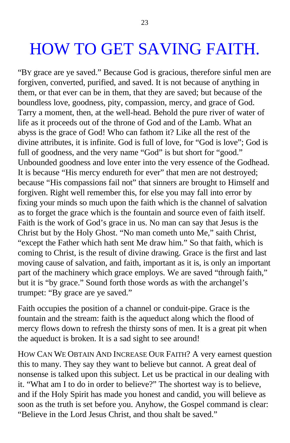### HOW TO GET SAVING FAITH.

"BY grace are ye saved." Because God is gracious, therefore sinful men are forgiven, converted, purified, and saved. It is not because of anything in them, or that ever can be in them, that they are saved; but because of the boundless love, goodness, pity, compassion, mercy, and grace of God. Tarry a moment, then, at the well-head. Behold the pure river of water of life as it proceeds out of the throne of God and of the Lamb. What an abyss is the grace of God! Who can fathom it? Like all the rest of the divine attributes, it is infinite. God is full of love, for "God is love"; God is full of goodness, and the very name "God" is but short for "good." Unbounded goodness and love enter into the very essence of the Godhead. It is because "His mercy endureth for ever" that men are not destroyed; because "His compassions fail not" that sinners are brought to Himself and forgiven. Right well remember this, for else you may fall into error by fixing your minds so much upon the faith which is the channel of salvation as to forget the grace which is the fountain and source even of faith itself. Faith is the work of God's grace in us. No man can say that Jesus is the Christ but by the Holy Ghost. "No man cometh unto Me," saith Christ, "except the Father which hath sent Me draw him." So that faith, which is coming to Christ, is the result of divine drawing. Grace is the first and last moving cause of salvation, and faith, important as it is, is only an important part of the machinery which grace employs. We are saved "through faith," but it is "by grace." Sound forth those words as with the archangel's trumpet: "By grace are ye saved."

Faith occupies the position of a channel or conduit-pipe. Grace is the fountain and the stream: faith is the aqueduct along which the flood of mercy flows down to refresh the thirsty sons of men. It is a great pit when the aqueduct is broken. It is a sad sight to see around!

HOW CAN WE OBTAIN AND INCREASE OUR FAITH? A very earnest question this to many. They say they want to believe but cannot. A great deal of nonsense is talked upon this subject. Let us be practical in our dealing with it. "What am I to do in order to believe?" The shortest way is to believe, and if the Holy Spirit has made you honest and candid, you will believe as soon as the truth is set before you. Anyhow, the Gospel command is clear: "Believe in the Lord Jesus Christ, and thou shalt be saved."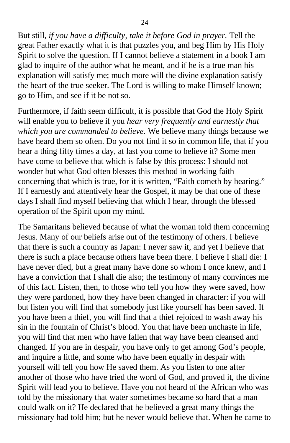But still, *if you have a difficulty, take it before God in prayer.* Tell the great Father exactly what it is that puzzles you, and beg Him by His Holy Spirit to solve the question. If I cannot believe a statement in a book I am glad to inquire of the author what he meant, and if he is a true man his explanation will satisfy me; much more will the divine explanation satisfy the heart of the true seeker. The Lord is willing to make Himself known; go to Him, and see if it be not so.

Furthermore, if faith seem difficult, it is possible that God the Holy Spirit will enable you to believe if you *hear very frequently and earnestly that which you are commanded to believe.* We believe many things because we have heard them so often. Do you not find it so in common life, that if you hear a thing fifty times a day, at last you come to believe it? Some men have come to believe that which is false by this process: I should not wonder but what God often blesses this method in working faith concerning that which is true, for it is written, "Faith cometh by hearing." If I earnestly and attentively hear the Gospel, it may be that one of these days I shall find myself believing that which I hear, through the blessed operation of the Spirit upon my mind.

The Samaritans believed because of what the woman told them concerning Jesus. Many of our beliefs arise out of the testimony of others. I believe that there is such a country as Japan: I never saw it, and yet I believe that there is such a place because others have been there. I believe I shall die: I have never died, but a great many have done so whom I once knew, and I have a conviction that I shall die also; the testimony of many convinces me of this fact. Listen, then, to those who tell you how they were saved, how they were pardoned, how they have been changed in character: if you will but listen you will find that somebody just like yourself has been saved. If you have been a thief, you will find that a thief rejoiced to wash away his sin in the fountain of Christ's blood. You that have been unchaste in life, you will find that men who have fallen that way have been cleansed and changed. If you are in despair, you have only to get among God's people, and inquire a little, and some who have been equally in despair with yourself will tell you how He saved them. As you listen to one after another of those who have tried the word of God, and proved it, the divine Spirit will lead you to believe. Have you not heard of the African who was told by the missionary that water sometimes became so hard that a man could walk on it? He declared that he believed a great many things the missionary had told him; but he never would believe that. When he came to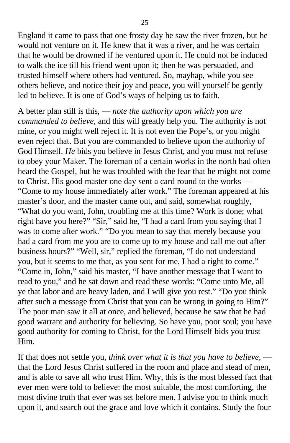England it came to pass that one frosty day he saw the river frozen, but he would not venture on it. He knew that it was a river, and he was certain that he would be drowned if he ventured upon it. He could not be induced to walk the ice till his friend went upon it; then he was persuaded, and trusted himself where others had ventured. So, mayhap, while you see others believe, and notice their joy and peace, you will yourself be gently led to believe. It is one of God's ways of helping us to faith.

A better plan still is this, — *note the authority upon which you are commanded to believe,* and this will greatly help you. The authority is not mine, or you might well reject it. It is not even the Pope's, or you might even reject that. But you are commanded to believe upon the authority of God Himself. *He* bids you believe in Jesus Christ, and you must not refuse to obey your Maker. The foreman of a certain works in the north had often heard the Gospel, but he was troubled with the fear that he might not come to Christ. His good master one day sent a card round to the works — "Come to my house immediately after work." The foreman appeared at his master's door, and the master came out, and said, somewhat roughly, "What do you want, John, troubling me at this time? Work is done; what right have you here?" "Sir," said he, "I had a card from you saying that I was to come after work." "Do you mean to say that merely because you had a card from me you are to come up to my house and call me out after business hours?" "Well, sir," replied the foreman, "I do not understand you, but it seems to me that, as you sent for me, I had a right to come." "Come in, John," said his master, "I have another message that I want to read to you," and he sat down and read these words: "Come unto Me, all ye that labor and are heavy laden, and I will give you rest." "Do you think after such a message from Christ that you can be wrong in going to Him?" The poor man saw it all at once, and believed, because he saw that he had good warrant and authority for believing. So have you, poor soul; you have good authority for coming to Christ, for the Lord Himself bids you trust Him.

If that does not settle you, *think over what it is that you have to believe,* that the Lord Jesus Christ suffered in the room and place and stead of men, and is able to save all who trust Him. Why, this is the most blessed fact that ever men were told to believe: the most suitable, the most comforting, the most divine truth that ever was set before men. I advise you to think much upon it, and search out the grace and love which it contains. Study the four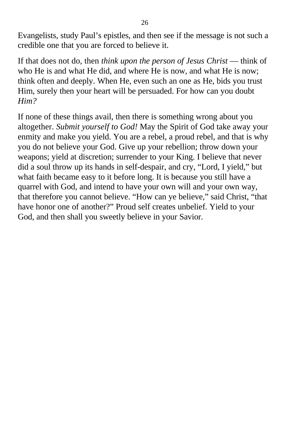Evangelists, study Paul's epistles, and then see if the message is not such a credible one that you are forced to believe it.

If that does not do, then *think upon the person of Jesus Christ* — think of who He is and what He did, and where He is now, and what He is now; think often and deeply. When He, even such an one as He, bids you trust Him, surely then your heart will be persuaded. For how can you doubt *Him?*

If none of these things avail, then there is something wrong about you altogether. *Submit yourself to God!* May the Spirit of God take away your enmity and make you yield. You are a rebel, a proud rebel, and that is why you do not believe your God. Give up your rebellion; throw down your weapons; yield at discretion; surrender to your King. I believe that never did a soul throw up its hands in self-despair, and cry, "Lord, I yield," but what faith became easy to it before long. It is because you still have a quarrel with God, and intend to have your own will and your own way, that therefore you cannot believe. "How can ye believe," said Christ, "that have honor one of another?" Proud self creates unbelief. Yield to your God, and then shall you sweetly believe in your Savior.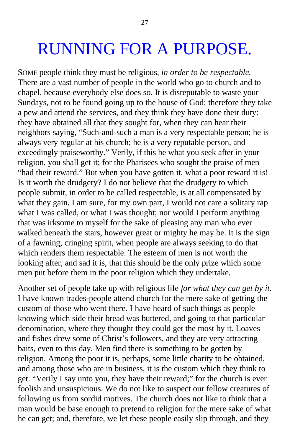## RUNNING FOR A PURPOSE.

SOME people think they must be religious, *in order to be respectable.* There are a vast number of people in the world who go to church and to chapel, because everybody else does so. It is disreputable to waste your Sundays, not to be found going up to the house of God; therefore they take a pew and attend the services, and they think they have done their duty: they have obtained all that they sought for, when they can hear their neighbors saying, "Such-and-such a man is a very respectable person; he is always very regular at his church; he is a very reputable person, and exceedingly praiseworthy." Verily, if this be what you seek after in your religion, you shall get it; for the Pharisees who sought the praise of men "had their reward." But when you have gotten it, what a poor reward it is! Is it worth the drudgery? I do not believe that the drudgery to which people submit, in order to be called respectable, is at all compensated by what they gain. I am sure, for my own part, I would not care a solitary rap what I was called, or what I was thought; nor would I perform anything that was irksome to myself for the sake of pleasing any man who ever walked beneath the stars, however great or mighty he may be. It is the sign of a fawning, cringing spirit, when people are always seeking to do that which renders them respectable. The esteem of men is not worth the looking after, and sad it is, that this should be the only prize which some men put before them in the poor religion which they undertake.

Another set of people take up with religious life *for what they can get by it.* I have known trades-people attend church for the mere sake of getting the custom of those who went there. I have heard of such things as people knowing which side their bread was buttered, and going to that particular denomination, where they thought they could get the most by it. Loaves and fishes drew some of Christ's followers, and they are very attracting baits, even to this day. Men find there is something to be gotten by religion. Among the poor it is, perhaps, some little charity to be obtained, and among those who are in business, it is the custom which they think to get. "Verily I say unto you, they have their reward;" for the church is ever foolish and unsuspicious. We do not like to suspect our fellow creatures of following us from sordid motives. The church does not like to think that a man would be base enough to pretend to religion for the mere sake of what he can get; and, therefore, we let these people easily slip through, and they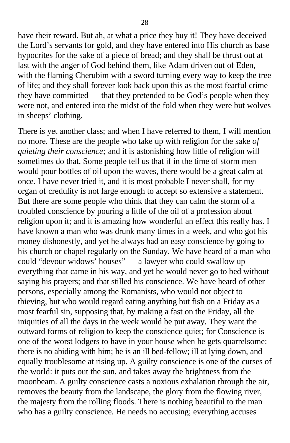have their reward. But ah, at what a price they buy it! They have deceived the Lord's servants for gold, and they have entered into His church as base hypocrites for the sake of a piece of bread; and they shall be thrust out at last with the anger of God behind them, like Adam driven out of Eden, with the flaming Cherubim with a sword turning every way to keep the tree of life; and they shall forever look back upon this as the most fearful crime they have committed — that they pretended to be God's people when they were not, and entered into the midst of the fold when they were but wolves in sheeps' clothing.

There is yet another class; and when I have referred to them, I will mention no more. These are the people who take up with religion for the sake *of quieting their conscience;* and it is astonishing how little of religion will sometimes do that. Some people tell us that if in the time of storm men would pour bottles of oil upon the waves, there would be a great calm at once. I have never tried it, and it is most probable I never shall, for my organ of credulity is not large enough to accept so extensive a statement. But there are some people who think that they can calm the storm of a troubled conscience by pouring a little of the oil of a profession about religion upon it; and it is amazing how wonderful an effect this really has. I have known a man who was drunk many times in a week, and who got his money dishonestly, and yet he always had an easy conscience by going to his church or chapel regularly on the Sunday. We have heard of a man who could "devour widows' houses" — a lawyer who could swallow up everything that came in his way, and yet he would never go to bed without saying his prayers; and that stilled his conscience. We have heard of other persons, especially among the Romanists, who would not object to thieving, but who would regard eating anything but fish on a Friday as a most fearful sin, supposing that, by making a fast on the Friday, all the iniquities of all the days in the week would be put away. They want the outward forms of religion to keep the conscience quiet; for Conscience is one of the worst lodgers to have in your house when he gets quarrelsome: there is no abiding with him; he is an ill bed-fellow; ill at lying down, and equally troublesome at rising up. A guilty conscience is one of the curses of the world: it puts out the sun, and takes away the brightness from the moonbeam. A guilty conscience casts a noxious exhalation through the air, removes the beauty from the landscape, the glory from the flowing river, the majesty from the rolling floods. There is nothing beautiful to the man who has a guilty conscience. He needs no accusing; everything accuses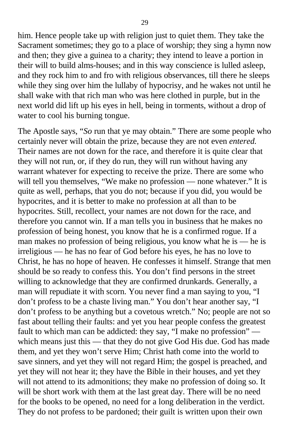him. Hence people take up with religion just to quiet them. They take the Sacrament sometimes; they go to a place of worship; they sing a hymn now and then; they give a guinea to a charity; they intend to leave a portion in their will to build alms-houses; and in this way conscience is lulled asleep, and they rock him to and fro with religious observances, till there he sleeps while they sing over him the lullaby of hypocrisy, and he wakes not until he shall wake with that rich man who was here clothed in purple, but in the next world did lift up his eyes in hell, being in torments, without a drop of water to cool his burning tongue.

The Apostle says, "*So* run that ye may obtain." There are some people who certainly never will obtain the prize, because they are not even *entered.* Their names are not down for the race, and therefore it is quite clear that they will not run, or, if they do run, they will run without having any warrant whatever for expecting to receive the prize. There are some who will tell you themselves, "We make no profession — none whatever." It is quite as well, perhaps, that you do not; because if you did, you would be hypocrites, and it is better to make no profession at all than to be hypocrites. Still, recollect, your names are not down for the race, and therefore you cannot win. If a man tells you in business that he makes no profession of being honest, you know that he is a confirmed rogue. If a man makes no profession of being religious, you know what he is — he is irreligious — he has no fear of God before his eyes, he has no love to Christ, he has no hope of heaven. He confesses it himself. Strange that men should be so ready to confess this. You don't find persons in the street willing to acknowledge that they are confirmed drunkards. Generally, a man will repudiate it with scorn. You never find a man saying to you, "I don't profess to be a chaste living man." You don't hear another say, "I don't profess to be anything but a covetous wretch." No; people are not so fast about telling their faults: and yet you hear people confess the greatest fault to which man can be addicted: they say, "I make no profession" which means just this — that they do not give God His due. God has made them, and yet they won't serve Him; Christ hath come into the world to save sinners, and yet they will not regard Him; the gospel is preached, and yet they will not hear it; they have the Bible in their houses, and yet they will not attend to its admonitions; they make no profession of doing so. It will be short work with them at the last great day. There will be no need for the books to be opened, no need for a long deliberation in the verdict. They do not profess to be pardoned; their guilt is written upon their own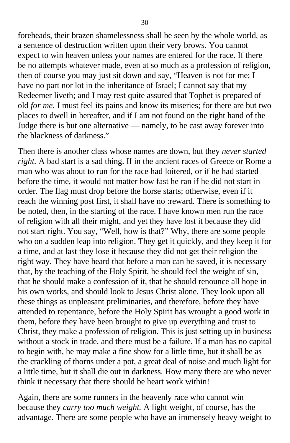foreheads, their brazen shamelessness shall be seen by the whole world, as a sentence of destruction written upon their very brows. You cannot expect to win heaven unless your names are entered for the race. If there be no attempts whatever made, even at so much as a profession of religion, then of course you may just sit down and say, "Heaven is not for me; I have no part nor lot in the inheritance of Israel; I cannot say that my Redeemer liveth; and I may rest quite assured that Tophet is prepared of old *for me.* I must feel its pains and know its miseries; for there are but two places to dwell in hereafter, and if I am not found on the right hand of the Judge there is but one alternative — namely, to be cast away forever into the blackness of darkness."

Then there is another class whose names are down, but they *never started right.* A bad start is a sad thing. If in the ancient races of Greece or Rome a man who was about to run for the race had loitered, or if he had started before the time, it would not matter how fast he ran if he did not start in order. The flag must drop before the horse starts; otherwise, even if it reach the winning post first, it shall have no :reward. There is something to be noted, then, in the starting of the race. I have known men run the race of religion with all their might, and yet they have lost it because they did not start right. You say, "Well, how is that?" Why, there are some people who on a sudden leap into religion. They get it quickly, and they keep it for a time, and at last they lose it because they did not get their religion the right way. They have heard that before a man can be saved, it is necessary that, by the teaching of the Holy Spirit, he should feel the weight of sin, that he should make a confession of it, that he should renounce all hope in his own works, and should look to Jesus Christ alone. They look upon all these things as unpleasant preliminaries, and therefore, before they have attended to repentance, before the Holy Spirit has wrought a good work in them, before they have been brought to give up everything and trust to Christ, they make a profession of religion. This is just setting up in business without a stock in trade, and there must be a failure. If a man has no capital to begin with, he may make a fine show for a little time, but it shall be as the crackling of thorns under a pot, a great deal of noise and much light for a little time, but it shall die out in darkness. How many there are who never think it necessary that there should be heart work within!

Again, there are some runners in the heavenly race who cannot win because they *carry too much weight.* A light weight, of course, has the advantage. There are some people who have an immensely heavy weight to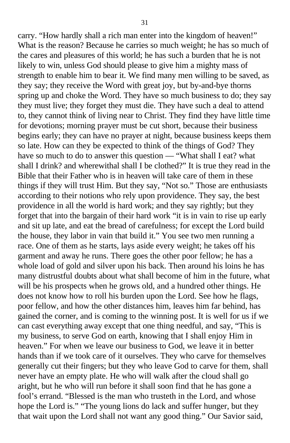carry. "How hardly shall a rich man enter into the kingdom of heaven!" What is the reason? Because he carries so much weight; he has so much of the cares and pleasures of this world; he has such a burden that he is not likely to win, unless God should please to give him a mighty mass of strength to enable him to bear it. We find many men willing to be saved, as they say; they receive the Word with great joy, but by-and-bye thorns spring up and choke the Word. They have so much business to do; they say they must live; they forget they must die. They have such a deal to attend to, they cannot think of living near to Christ. They find they have little time for devotions; morning prayer must be cut short, because their business begins early; they can have no prayer at night, because business keeps them so late. How can they be expected to think of the things of God? They have so much to do to answer this question — "What shall I eat? what shall I drink? and wherewithal shall I be clothed?" It is true they read in the Bible that their Father who is in heaven will take care of them in these things if they will trust Him. But they say, "Not so." Those are enthusiasts according to their notions who rely upon providence. They say, the best providence in all the world is hard work; and they say rightly; but they forget that into the bargain of their hard work "it is in vain to rise up early and sit up late, and eat the bread of carefulness; for except the Lord build the house, they labor in vain that build it." You see two men running a race. One of them as he starts, lays aside every weight; he takes off his garment and away he runs. There goes the other poor fellow; he has a whole load of gold and silver upon his back. Then around his loins he has many distrustful doubts about what shall become of him in the future, what will be his prospects when he grows old, and a hundred other things. He does not know how to roll his burden upon the Lord. See how he flags, poor fellow, and how the other distances him, leaves him far behind, has gained the corner, and is coming to the winning post. It is well for us if we can cast everything away except that one thing needful, and say, "This is my business, to serve God on earth, knowing that I shall enjoy Him in heaven." For when we leave our business to God, we leave it in better hands than if we took care of it ourselves. They who carve for themselves generally cut their fingers; but they who leave God to carve for them, shall never have an empty plate. He who will walk after the cloud shall go aright, but he who will run before it shall soon find that he has gone a fool's errand. "Blessed is the man who trusteth in the Lord, and whose hope the Lord is." "The young lions do lack and suffer hunger, but they that wait upon the Lord shall not want any good thing." Our Savior said,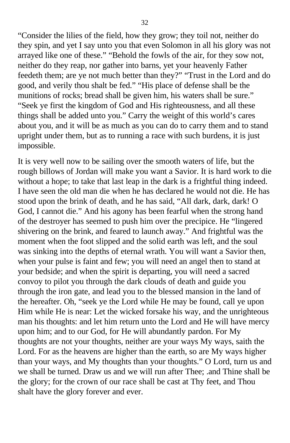"Consider the lilies of the field, how they grow; they toil not, neither do they spin, and yet I say unto you that even Solomon in all his glory was not arrayed like one of these." "Behold the fowls of the air, for they sow not, neither do they reap, nor gather into barns, yet your heavenly Father feedeth them; are ye not much better than they?" "Trust in the Lord and do good, and verily thou shalt be fed." "His place of defense shall be the munitions of rocks; bread shall be given him, his waters shall be sure." "Seek ye first the kingdom of God and His righteousness, and all these things shall be added unto you." Carry the weight of this world's cares about you, and it will be as much as you can do to carry them and to stand upright under them, but as to running a race with such burdens, it is just impossible.

It is very well now to be sailing over the smooth waters of life, but the rough billows of Jordan will make you want a Savior. It is hard work to die without a hope; to take that last leap in the dark is a frightful thing indeed. I have seen the old man die when he has declared he would not die. He has stood upon the brink of death, and he has said, "All dark, dark, dark! O God, I cannot die." And his agony has been fearful when the strong hand of the destroyer has seemed to push him over the precipice. He "lingered shivering on the brink, and feared to launch away." And frightful was the moment when the foot slipped and the solid earth was left, and the soul was sinking into the depths of eternal wrath. You will want a Savior then, when your pulse is faint and few; you will need an angel then to stand at your bedside; and when the spirit is departing, you will need a sacred convoy to pilot you through the dark clouds of death and guide you through the iron gate, and lead you to the blessed mansion in the land of the hereafter. Oh, "seek ye the Lord while He may be found, call ye upon Him while He is near: Let the wicked forsake his way, and the unrighteous man his thoughts: and let him return unto the Lord and He will have mercy upon him; and to our God, for He will abundantly pardon. For My thoughts are not your thoughts, neither are your ways My ways, saith the Lord. For as the heavens are higher than the earth, so are My ways higher than your ways, and My thoughts than your thoughts." O Lord, turn us and we shall be turned. Draw us and we will run after Thee; .and Thine shall be the glory; for the crown of our race shall be cast at Thy feet, and Thou shalt have the glory forever and ever.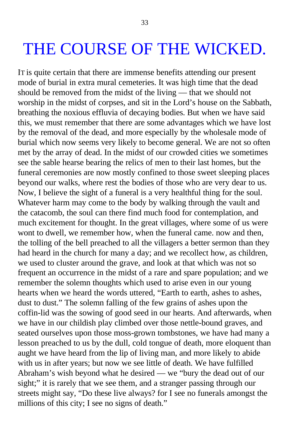### THE COURSE OF THE WICKED.

IT is quite certain that there are immense benefits attending our present mode of burial in extra mural cemeteries. It was high time that the dead should be removed from the midst of the living — that we should not worship in the midst of corpses, and sit in the Lord's house on the Sabbath, breathing the noxious effluvia of decaying bodies. But when we have said this, we must remember that there are some advantages which we have lost by the removal of the dead, and more especially by the wholesale mode of burial which now seems very likely to become general. We are not so often met by the array of dead. In the midst of our crowded cities we sometimes see the sable hearse bearing the relics of men to their last homes, but the funeral ceremonies are now mostly confined to those sweet sleeping places beyond our walks, where rest the bodies of those who are very dear to us. Now, I believe the sight of a funeral is a very healthful thing for the soul. Whatever harm may come to the body by walking through the vault and the catacomb, the soul can there find much food for contemplation, and much excitement for thought. In the great villages, where some of us were wont to dwell, we remember how, when the funeral came. now and then, the tolling of the bell preached to all the villagers a better sermon than they had heard in the church for many a day; and we recollect how, as children, we used to cluster around the grave, and look at that which was not so frequent an occurrence in the midst of a rare and spare population; and we remember the solemn thoughts which used to arise even in our young hearts when we heard the words uttered, "Earth to earth, ashes to ashes, dust to dust." The solemn falling of the few grains of ashes upon the coffin-lid was the sowing of good seed in our hearts. And afterwards, when we have in our childish play climbed over those nettle-bound graves, and seated ourselves upon those moss-grown tombstones, we have had many a lesson preached to us by the dull, cold tongue of death, more eloquent than aught we have heard from the lip of living man, and more likely to abide with us in after years; but now we see little of death. We have fulfilled Abraham's wish beyond what he desired — we "bury the dead out of our sight;" it is rarely that we see them, and a stranger passing through our streets might say, "Do these live always? for I see no funerals amongst the millions of this city; I see no signs of death."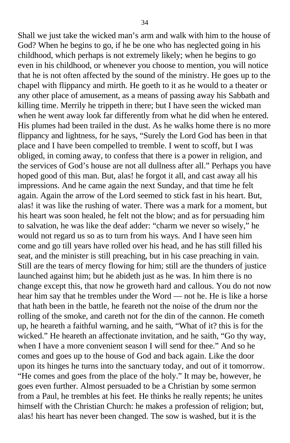Shall we just take the wicked man's arm and walk with him to the house of God? When he begins to go, if he be one who has neglected going in his childhood, which perhaps is not extremely likely; when he begins to go even in his childhood, or whenever you choose to mention, you will notice that he is not often affected by the sound of the ministry. He goes up to the chapel with flippancy and mirth. He goeth to it as he would to a theater or any other place of amusement, as a means of passing away his Sabbath and killing time. Merrily he trippeth in there; but I have seen the wicked man when he went away look far differently from what he did when he entered. His plumes had been trailed in the dust. As he walks home there is no more flippancy and lightness, for he says, "Surely the Lord God has been in that place and I have been compelled to tremble. I went to scoff, but I was obliged, in coming away, to confess that there is a power in religion, and the services of God's house are not all dullness after all." Perhaps you have hoped good of this man. But, alas! he forgot it all, and cast away all his impressions. And he came again the next Sunday, and that time he felt again. Again the arrow of the Lord seemed to stick fast in his heart. But, alas! it was like the rushing of water. There was a mark for a moment, but his heart was soon healed, he felt not the blow; and as for persuading him to salvation, he was like the deaf adder: "charm we never so wisely," he would not regard us so as to turn from his ways. And I have seen him come and go till years have rolled over his head, and he has still filled his seat, and the minister is still preaching, but in his case preaching in vain. Still are the tears of mercy flowing for him; still are the thunders of justice launched against him; but he abideth just as he was. In him there is no change except this, that now he groweth hard and callous. You do not now hear him say that he trembles under the Word — not he. He is like a horse that hath been in the battle, he feareth not the noise of the drum nor the rolling of the smoke, and careth not for the din of the cannon. He cometh up, he heareth a faithful warning, and he saith, "What of it? this is for the wicked." He heareth an affectionate invitation, and he saith, "Go thy way, when I have a more convenient season I will send for thee." And so he comes and goes up to the house of God and back again. Like the door upon its hinges he turns into the sanctuary today, and out of it tomorrow. "He comes and goes from the place of the holy." It may be, however, he goes even further. Almost persuaded to be a Christian by some sermon from a Paul, he trembles at his feet. He thinks he really repents; he unites himself with the Christian Church: he makes a profession of religion; but, alas! his heart has never been changed. The sow is washed, but it is the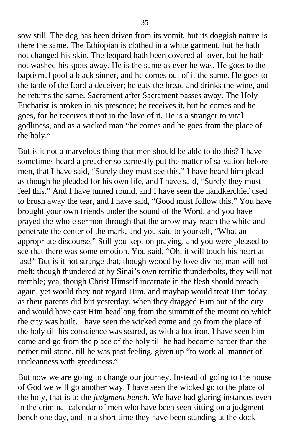sow still. The dog has been driven from its vomit, but its doggish nature is there the same. The Ethiopian is clothed in a white garment, but he hath not changed his skin. The leopard hath been covered all over, but he hath not washed his spots away. He is the same as ever he was. He goes to the baptismal pool a black sinner, and he comes out of it the same. He goes to the table of the Lord a deceiver; he eats the bread and drinks the wine, and he returns the same. Sacrament after Sacrament passes away. The Holy Eucharist is broken in his presence; he receives it, but he comes and he goes, for he receives it not in the love of it. He is a stranger to vital godliness, and as a wicked man "he comes and he goes from the place of the holy."

But is it not a marvelous thing that men should be able to do this? I have sometimes heard a preacher so earnestly put the matter of salvation before men, that I have said, "Surely they must see this." I have heard him plead as though he pleaded for his own life, and I have said, "Surely they must feel this." And I have turned round, and I have seen the handkerchief used to brush away the tear, and I have said, "Good must follow this." You have brought your own friends under the sound of the Word, and you have prayed the whole sermon through that the arrow may reach the white and penetrate the center of the mark, and you said to yourself, "What an appropriate discourse." Still you kept on praying, and you were pleased to see that there was some emotion. You said, "Oh, it will touch his heart at last!" But is it not strange that, though wooed by love divine, man will not melt; though thundered at by Sinai's own terrific thunderbolts, they will not tremble; yea, though Christ Himself incarnate in the flesh should preach again, yet would they not regard Him, and mayhap would treat Him today as their parents did but yesterday, when they dragged Him out of the city and would have cast Him headlong from the summit of the mount on which the city was built. I have seen the wicked come and go from the place of the holy till his conscience was seared, as with a hot iron. I have seen him come and go from the place of the holy till he had become harder than the nether millstone, till he was past feeling, given up "to work all manner of uncleanness with greediness."

But now we are going to change our journey. Instead of going to the house of God we will go another way. I have seen the wicked go to the place of the holy, that is to the *judgment bench.* We have had glaring instances even in the criminal calendar of men who have been seen sitting on a judgment bench one day, and in a short time they have been standing at the dock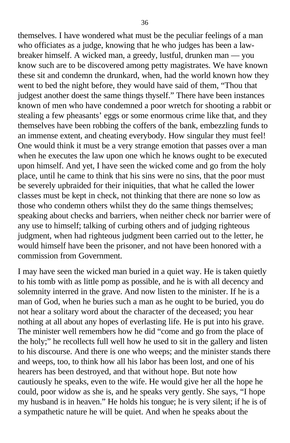themselves. I have wondered what must be the peculiar feelings of a man who officiates as a judge, knowing that he who judges has been a lawbreaker himself. A wicked man, a greedy, lustful, drunken man — you know such are to be discovered among petty magistrates. We have known these sit and condemn the drunkard, when, had the world known how they went to bed the night before, they would have said of them, "Thou that judgest another doest the same things thyself." There have been instances known of men who have condemned a poor wretch for shooting a rabbit or stealing a few pheasants' eggs or some enormous crime like that, and they themselves have been robbing the coffers of the bank, embezzling funds to an immense extent, and cheating everybody. How singular they must feel! One would think it must be a very strange emotion that passes over a man when he executes the law upon one which he knows ought to be executed upon himself. And yet, I have seen the wicked come and go from the holy place, until he came to think that his sins were no sins, that the poor must be severely upbraided for their iniquities, that what he called the lower classes must be kept in check, not thinking that there are none so low as those who condemn others whilst they do the same things themselves; speaking about checks and barriers, when neither check nor barrier were of any use to himself; talking of curbing others and of judging righteous judgment, when had righteous judgment been carried out to the letter, he would himself have been the prisoner, and not have been honored with a commission from Government.

I may have seen the wicked man buried in a quiet way. He is taken quietly to his tomb with as little pomp as possible, and he is with all decency and solemnity interred in the grave. And now listen to the minister. If he is a man of God, when he buries such a man as he ought to be buried, you do not hear a solitary word about the character of the deceased; you hear nothing at all about any hopes of everlasting life. He is put into his grave. The minister well remembers how he did "come and go from the place of the holy;" he recollects full well how he used to sit in the gallery and listen to his discourse. And there is one who weeps; and the minister stands there and weeps, too, to think how all his labor has been lost, and one of his hearers has been destroyed, and that without hope. But note how cautiously he speaks, even to the wife. He would give her all the hope he could, poor widow as she is, and he speaks very gently. She says, "I hope my husband is in heaven." He holds his tongue; he is very silent; if he is of a sympathetic nature he will be quiet. And when he speaks about the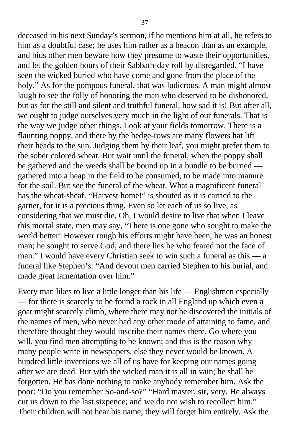deceased in his next Sunday's sermon, if he mentions him at all, he refers to him as a doubtful case; he uses him rather as a beacon than as an example, and bids other men beware how they presume to waste their opportunities, and let the golden hours of their Sabbath-day roll by disregarded. "I have seen the wicked buried who have come and gone from the place of the holy." As for the pompous funeral, that was ludicrous. A man might almost laugh to see the folly of honoring the man who deserved to be dishonored, but as for the still and silent and truthful funeral, how sad it is! But after all, we ought to judge ourselves very much in the light of our funerals. That is the way we judge other things. Look at your fields tomorrow. There is a flaunting poppy, and there by the hedge-rows are many flowers hat lift their heads to the sun. Judging them by their leaf, you might prefer them to the sober colored wheat. But wait until the funeral, when the poppy shall be gathered and the weeds shall be bound up in a bundle to be burned gathered into a heap in the field to be consumed, to be made into manure for the soil. But see the funeral of the wheat. What a magnificent funeral has the wheat-sheaf. "Harvest home!" is shouted as it is carried to the garner, for it is a precious thing. Even so let each of us so live, as considering that we must die. Oh, I would desire to live that when I leave this mortal state, men may say, "There is one gone who sought to make the world better! However rough his efforts might have been, he was an honest man; he sought to serve God, and there lies he who feared not the face of man." I would have every Christian seek to win such a funeral as this — a funeral like Stephen's: "And devout men carried Stephen to his burial, and made great lamentation over him."

Every man likes to live a little longer than his life — Englishmen especially — for there is scarcely to be found a rock in all England up which even a goat might scarcely climb, where there may not be discovered the initials of the names of men, who never had any other mode of attaining to fame, and therefore thought they would inscribe their names there. Go where you will, you find men attempting to be known; and this is the reason why many people write in newspapers, else they never would be known. A hundred little inventions we all of us have for keeping our names going after we are dead. But with the wicked man it is all in vain; he shall be forgotten. He has done nothing to make anybody remember him. Ask the poor: "Do you remember So-and-so?" "Hard master, sir, very. He always cut us down to the last sixpence; and we do not wish to recollect him." Their children will not hear his name; they will forget him entirely. Ask the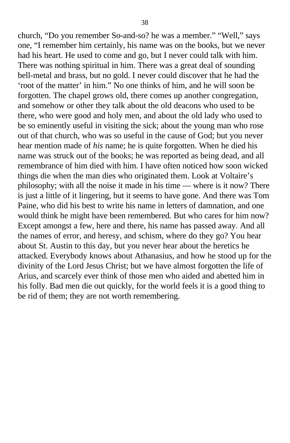church, "Do you remember So-and-so? he was a member." "Well," says one, "I remember him certainly, his name was on the books, but we never had his heart. He used to come and go, but I never could talk with him. There was nothing spiritual in him. There was a great deal of sounding bell-metal and brass, but no gold. I never could discover that he had the 'root of the matter' in him." No one thinks of him, and he will soon be forgotten. The chapel grows old, there comes up another congregation, and somehow or other they talk about the old deacons who used to be there, who were good and holy men, and about the old lady who used to be so eminently useful in visiting the sick; about the young man who rose out of that church, who was so useful in the cause of God; but you never hear mention made of *his* name; he is quite forgotten. When he died his name was struck out of the books; he was reported as being dead, and all remembrance of him died with him. I have often noticed how soon wicked things die when the man dies who originated them. Look at Voltaire's philosophy; with all the noise it made in his time — where is it now? There is just a little of it lingering, but it seems to have gone. And there was Tom Paine, who did his best to write his name in letters of damnation, and one would think he might have been remembered. But who cares for him now? Except amongst a few, here and there, his name has passed away. And all the names of error, and heresy, and schism, where do they go? You hear about St. Austin to this day, but you never hear about the heretics he attacked. Everybody knows about Athanasius, and how he stood up for the divinity of the Lord Jesus Christ; but we have almost forgotten the life of Arius, and scarcely ever think of those men who aided and abetted him in his folly. Bad men die out quickly, for the world feels it is a good thing to be rid of them; they are not worth remembering.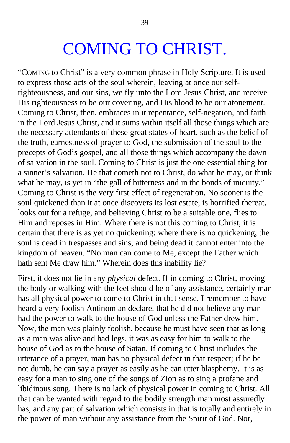# COMING TO CHRIST.

"COMING to Christ" is a very common phrase in Holy Scripture. It is used to express those acts of the soul wherein, leaving at once our selfrighteousness, and our sins, we fly unto the Lord Jesus Christ, and receive His righteousness to be our covering, and His blood to be our atonement. Coming to Christ, then, embraces in it repentance, self-negation, and faith in the Lord Jesus Christ, and it sums within itself all those things which are the necessary attendants of these great states of heart, such as the belief of the truth, earnestness of prayer to God, the submission of the soul to the precepts of God's gospel, and all those things which accompany the dawn of salvation in the soul. Coming to Christ is just the one essential thing for a sinner's salvation. He that cometh not to Christ, do what he may, or think what he may, is yet in "the gall of bitterness and in the bonds of iniquity." Coming to Christ is the very first effect of regeneration. No sooner is the soul quickened than it at once discovers its lost estate, is horrified thereat, looks out for a refuge, and believing Christ to be a suitable one, flies to Him and reposes in Him. Where there is not this corning to Christ, it is certain that there is as yet no quickening: where there is no quickening, the soul is dead in trespasses and sins, and being dead it cannot enter into the kingdom of heaven. "No man can come to Me, except the Father which hath sent Me draw him." Wherein does this inability lie?

First, it does not lie in any *physical* defect. If in coming to Christ, moving the body or walking with the feet should be of any assistance, certainly man has all physical power to come to Christ in that sense. I remember to have heard a very foolish Antinomian declare, that he did not believe any man had the power to walk to the house of God unless the Father drew him. Now, the man was plainly foolish, because he must have seen that as long as a man was alive and had legs, it was as easy for him to walk to the house of God as to the house of Satan. If coming to Christ includes the utterance of a prayer, man has no physical defect in that respect; if he be not dumb, he can say a prayer as easily as he can utter blasphemy. It is as easy for a man to sing one of the songs of Zion as to sing a profane and libidinous song. There is no lack of physical power in coming to Christ. All that can be wanted with regard to the bodily strength man most assuredly has, and any part of salvation which consists in that is totally and entirely in the power of man without any assistance from the Spirit of God. Nor,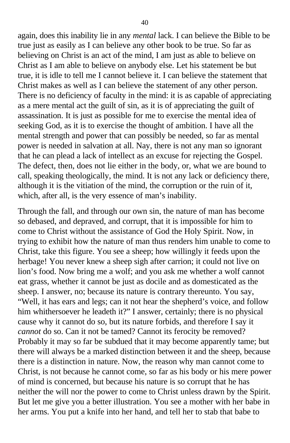again, does this inability lie in any *mental* lack. I can believe the Bible to be true just as easily as I can believe any other book to be true. So far as believing on Christ is an act of the mind, I am just as able to believe on Christ as I am able to believe on anybody else. Let his statement be but true, it is idle to tell me I cannot believe it. I can believe the statement that Christ makes as well as I can believe the statement of any other person. There is no deficiency of faculty in the mind: it is as capable of appreciating as a mere mental act the guilt of sin, as it is of appreciating the guilt of assassination. It is just as possible for me to exercise the mental idea of seeking God, as it is to exercise the thought of ambition. I have all the mental strength and power that can possibly be needed, so far as mental power is needed in salvation at all. Nay, there is not any man so ignorant that he can plead a lack of intellect as an excuse for rejecting the Gospel. The defect, then, does not lie either in the body, or, what we are bound to call, speaking theologically, the mind. It is not any lack or deficiency there, although it is the vitiation of the mind, the corruption or the ruin of it, which, after all, is the very essence of man's inability.

Through the fall, and through our own sin, the nature of man has become so debased, and depraved, and corrupt, that it is impossible for him to come to Christ without the assistance of God the Holy Spirit. Now, in trying to exhibit how the nature of man thus renders him unable to come to Christ, take this figure. You see a sheep; how willingly it feeds upon the herbage! You never knew a sheep sigh after carrion; it could not live on lion's food. Now bring me a wolf; and you ask me whether a wolf cannot eat grass, whether it cannot be just as docile and as domesticated as the sheep. I answer, no; because its nature is contrary thereunto. You say, "Well, it has ears and legs; can it not hear the shepherd's voice, and follow him whithersoever he leadeth it?" I answer, certainly; there is no physical cause why it cannot do so, but its nature forbids, and therefore I say it *cannot* do so. Can it not be tamed? Cannot its ferocity be removed? Probably it may so far be subdued that it may become apparently tame; but there will always be a marked distinction between it and the sheep, because there is a distinction in nature. Now, the reason why man cannot come to Christ, is not because he cannot come, so far as his body or his mere power of mind is concerned, but because his nature is so corrupt that he has neither the will nor the power to come to Christ unless drawn by the Spirit. But let me give you a better illustration. You see a mother with her babe in her arms. You put a knife into her hand, and tell her to stab that babe to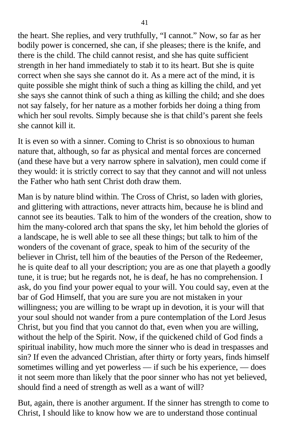the heart. She replies, and very truthfully, "I cannot." Now, so far as her bodily power is concerned, she can, if she pleases; there is the knife, and there is the child. The child cannot resist, and she has quite sufficient strength in her hand immediately to stab it to its heart. But she is quite correct when she says she cannot do it. As a mere act of the mind, it is quite possible she might think of such a thing as killing the child, and yet she says she cannot think of such a thing as killing the child; and she does not say falsely, for her nature as a mother forbids her doing a thing from which her soul revolts. Simply because she is that child's parent she feels she cannot kill it.

It is even so with a sinner. Coming to Christ is so obnoxious to human nature that, although, so far as physical and mental forces are concerned (and these have but a very narrow sphere in salvation), men could come if they would: it is strictly correct to say that they cannot and will not unless the Father who hath sent Christ doth draw them.

Man is by nature blind within. The Cross of Christ, so laden with glories, and glittering with attractions, never attracts him, because he is blind and cannot see its beauties. Talk to him of the wonders of the creation, show to him the many-colored arch that spans the sky, let him behold the glories of a landscape, he is well able to see all these things; but talk to him of the wonders of the covenant of grace, speak to him of the security of the believer in Christ, tell him of the beauties of the Person of the Redeemer, he is quite deaf to all your description; you are as one that playeth a goodly tune, it is true; but he regards not, he is deaf, he has no comprehension. I ask, do you find your power equal to your will. You could say, even at the bar of God Himself, that you are sure you are not mistaken in your willingness; you are willing to be wrapt up in devotion, it is your will that your soul should not wander from a pure contemplation of the Lord Jesus Christ, but you find that you cannot do that, even when you are willing, without the help of the Spirit. Now, if the quickened child of God finds a spiritual inability, how much more the sinner who is dead in trespasses and sin? If even the advanced Christian, after thirty or forty years, finds himself sometimes willing and yet powerless — if such be his experience, — does it not seem more than likely that the poor sinner who has not yet believed, should find a need of strength as well as a want of will?

But, again, there is another argument. If the sinner has strength to come to Christ, I should like to know how we are to understand those continual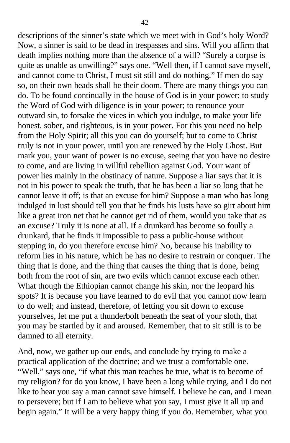descriptions of the sinner's state which we meet with in God's holy Word? Now, a sinner is said to be dead in trespasses and sins. Will you affirm that death implies nothing more than the absence of a will? "Surely a corpse is quite as unable as unwilling?" says one. "Well then, if I cannot save myself, and cannot come to Christ, I must sit still and do nothing." If men do say so, on their own heads shall be their doom. There are many things you can do. To be found continually in the house of God is in your power; to study the Word of God with diligence is in your power; to renounce your outward sin, to forsake the vices in which you indulge, to make your life honest, sober, and righteous, is in your power. For this you need no help from the Holy Spirit; all this you can do yourself; but to come to Christ truly is not in your power, until you are renewed by the Holy Ghost. But mark you, your want of power is no excuse, seeing that you have no desire to come, and are living in willful rebellion against God. Your want of power lies mainly in the obstinacy of nature. Suppose a liar says that it is not in his power to speak the truth, that he has been a liar so long that he cannot leave it off; is that an excuse for him? Suppose a man who has long indulged in lust should tell you that he finds his lusts have so girt about him like a great iron net that he cannot get rid of them, would you take that as an excuse? Truly it is none at all. If a drunkard has become so foully a drunkard, that he finds it impossible to pass a public-house without stepping in, do you therefore excuse him? No, because his inability to reform lies in his nature, which he has no desire to restrain or conquer. The thing that is done, and the thing that causes the thing that is done, being both from the root of sin, are two evils which cannot excuse each other. What though the Ethiopian cannot change his skin, nor the leopard his spots? It is because you have learned to do evil that you cannot now learn to do well; and instead, therefore, of letting you sit down to excuse yourselves, let me put a thunderbolt beneath the seat of your sloth, that you may be startled by it and aroused. Remember, that to sit still is to be damned to all eternity.

And, now, we gather up our ends, and conclude by trying to make a practical application of the doctrine; and we trust a comfortable one. "Well," says one, "if what this man teaches be true, what is to become of my religion? for do you know, I have been a long while trying, and I do not like to hear you say a man cannot save himself. I believe he can, and I mean to persevere; but if I am to believe what you say, I must give it all up and begin again." It will be a very happy thing if you do. Remember, what you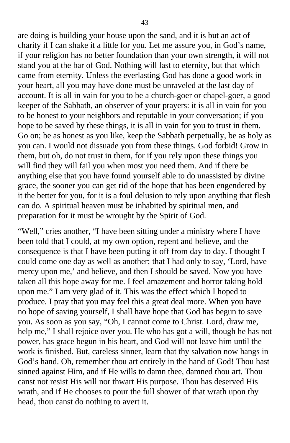are doing is building your house upon the sand, and it is but an act of charity if I can shake it a little for you. Let me assure you, in God's name, if your religion has no better foundation than your own strength, it will not stand you at the bar of God. Nothing will last to eternity, but that which came from eternity. Unless the everlasting God has done a good work in your heart, all you may have done must be unraveled at the last day of account. It is all in vain for you to be a church-goer or chapel-goer, a good keeper of the Sabbath, an observer of your prayers: it is all in vain for you to be honest to your neighbors and reputable in your conversation; if you hope to be saved by these things, it is all in vain for you to trust in them. Go on; be as honest as you like, keep the Sabbath perpetually, be as holy as you can. I would not dissuade you from these things. God forbid! Grow in them, but oh, do not trust in them, for if you rely upon these things you will find they will fail you when most you need them. And if there be anything else that you have found yourself able to do unassisted by divine grace, the sooner you can get rid of the hope that has been engendered by it the better for you, for it is a foul delusion to rely upon anything that flesh can do. A spiritual heaven must be inhabited by spiritual men, and preparation for it must be wrought by the Spirit of God.

"Well," cries another, "I have been sitting under a ministry where I have been told that I could, at my own option, repent and believe, and the consequence is that I have been putting it off from day to day. I thought I could come one day as well as another; that I had only to say, 'Lord, have mercy upon me,' and believe, and then I should be saved. Now you have taken all this hope away for me. I feel amazement and horror taking hold upon me." I am very glad of it. This was the effect which I hoped to produce. I pray that you may feel this a great deal more. When you have no hope of saving yourself, I shall have hope that God has begun to save you. As soon as you say, "Oh, I cannot come to Christ. Lord, draw me, help me," I shall rejoice over you. He who has got a will, though he has not power, has grace begun in his heart, and God will not leave him until the work is finished. But, careless sinner, learn that thy salvation now hangs in God's hand. Oh, remember thou art entirely in the hand of God! Thou hast sinned against Him, and if He wills to damn thee, damned thou art. Thou canst not resist His will nor thwart His purpose. Thou has deserved His wrath, and if He chooses to pour the full shower of that wrath upon thy head, thou canst do nothing to avert it.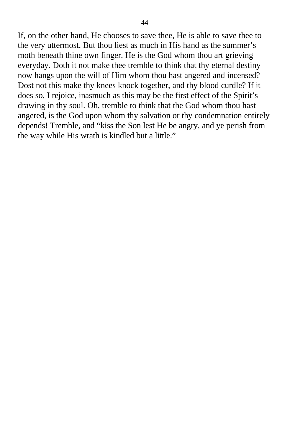If, on the other hand, He chooses to save thee, He is able to save thee to the very uttermost. But thou liest as much in His hand as the summer's moth beneath thine own finger. He is the God whom thou art grieving everyday. Doth it not make thee tremble to think that thy eternal destiny now hangs upon the will of Him whom thou hast angered and incensed? Dost not this make thy knees knock together, and thy blood curdle? If it does so, I rejoice, inasmuch as this may be the first effect of the Spirit's drawing in thy soul. Oh, tremble to think that the God whom thou hast angered, is the God upon whom thy salvation or thy condemnation entirely depends! Tremble, and "kiss the Son lest He be angry, and ye perish from the way while His wrath is kindled but a little."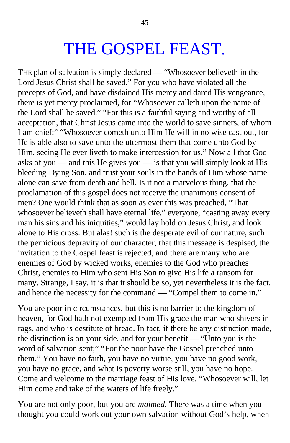### THE GOSPEL FEAST.

THE plan of salvation is simply declared — "Whosoever believeth in the Lord Jesus Christ shall be saved." For you who have violated all the precepts of God, and have disdained His mercy and dared His vengeance, there is yet mercy proclaimed, for "Whosoever calleth upon the name of the Lord shall be saved." "For this is a faithful saying and worthy of all acceptation, that Christ Jesus came into the world to save sinners, of whom I am chief;" "Whosoever cometh unto Him He will in no wise cast out, for He is able also to save unto the uttermost them that come unto God by Him, seeing He ever liveth to make intercession for us." Now all that God asks of you — and this He gives you — is that you will simply look at His bleeding Dying Son, and trust your souls in the hands of Him whose name alone can save from death and hell. Is it not a marvelous thing, that the proclamation of this gospel does not receive the unanimous consent of men? One would think that as soon as ever this was preached, "That whosoever believeth shall have eternal life," everyone, "casting away every man his sins and his iniquities," would lay hold on Jesus Christ, and look alone to His cross. But alas! such is the desperate evil of our nature, such the pernicious depravity of our character, that this message is despised, the invitation to the Gospel feast is rejected, and there are many who are enemies of God by wicked works, enemies to the God who preaches Christ, enemies to Him who sent His Son to give His life a ransom for many. Strange, I say, it is that it should be so, yet nevertheless it is the fact, and hence the necessity for the command — "Compel them to come in."

You are poor in circumstances, but this is no barrier to the kingdom of heaven, for God hath not exempted from His grace the man who shivers in rags, and who is destitute of bread. In fact, if there be any distinction made, the distinction is on your side, and for your benefit — "Unto you is the word of salvation sent;" "For the poor have the Gospel preached unto them." You have no faith, you have no virtue, you have no good work, you have no grace, and what is poverty worse still, you have no hope. Come and welcome to the marriage feast of His love. "Whosoever will, let Him come and take of the waters of life freely."

You are not only poor, but you are *maimed.* There was a time when you thought you could work out your own salvation without God's help, when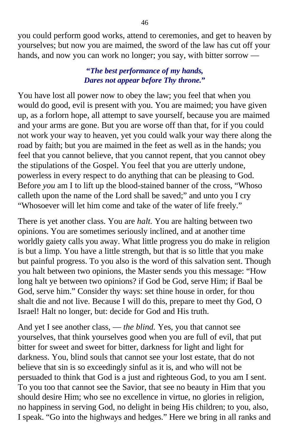you could perform good works, attend to ceremonies, and get to heaven by yourselves; but now you are maimed, the sword of the law has cut off your hands, and now you can work no longer; you say, with bitter sorrow —

#### **"***The best performance of my hands, Dares not appear before Thy throne.***"**

You have lost all power now to obey the law; you feel that when you would do good, evil is present with you. You are maimed; you have given up, as a forlorn hope, all attempt to save yourself, because you are maimed and your arms are gone. But you are worse off than that, for if you could not work your way to heaven, yet you could walk your way there along the road by faith; but you are maimed in the feet as well as in the hands; you feel that you cannot believe, that you cannot repent, that you cannot obey the stipulations of the Gospel. You feel that you are utterly undone, powerless in every respect to do anything that can be pleasing to God. Before *you* am I to lift up the blood-stained banner of the cross, "Whoso calleth upon the name of the Lord shall be saved;" and unto you I cry "Whosoever will let him come and take of the water of life freely."

There is yet another class. You are *halt.* You are halting between two opinions. You are sometimes seriously inclined, and at another time worldly gaiety calls you away. What little progress you do make in religion is but a limp. You have a little strength, but that is so little that you make but painful progress. To you also is the word of this salvation sent. Though you halt between two opinions, the Master sends you this message: "How long halt ye between two opinions? if God be God, serve Him; if Baal be God, serve him." Consider thy ways: set thine house in order, for thou shalt die and not live. Because I will do this, prepare to meet thy God, O Israel! Halt no longer, but: decide for God and His truth.

And yet I see another class, — *the blind.* Yes, you that cannot see yourselves, that think yourselves good when you are full of evil, that put bitter for sweet and sweet for bitter, darkness for light and light for darkness. You, blind souls that cannot see your lost estate, that do not believe that sin is so exceedingly sinful as it is, and who will not be persuaded to think that God is a just and righteous God, to you am I sent. To you too that cannot see the Savior, that see no beauty in Him that you should desire Him; who see no excellence in virtue, no glories in religion, no happiness in serving God, no delight in being His children; to you, also, I speak. "Go into the highways and hedges." Here we bring in all ranks and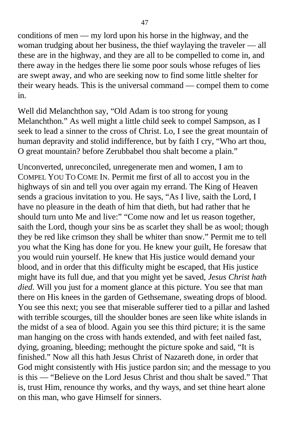conditions of men — my lord upon his horse in the highway, and the woman trudging about her business, the thief waylaying the traveler — all these are in the highway, and they are all to be compelled to come in, and there away in the hedges there lie some poor souls whose refuges of lies are swept away, and who are seeking now to find some little shelter for their weary heads. This is the universal command — compel them to come in.

Well did Melanchthon say, "Old Adam is too strong for young Melanchthon." As well might a little child seek to compel Sampson, as I seek to lead a sinner to the cross of Christ. Lo, I see the great mountain of human depravity and stolid indifference, but by faith I cry, "Who art thou, O great mountain? before Zerubbabel thou shalt become a plain."

Unconverted, unreconciled, unregenerate men and women, I am to COMPEL YOU TO COME IN. Permit me first of all to accost you in the highways of sin and tell you over again my errand. The King of Heaven sends a gracious invitation to you. He says, "As I live, saith the Lord, I have no pleasure in the death of him that dieth, but had rather that he should turn unto Me and live:" "Come now and let us reason together, saith the Lord, though your sins be as scarlet they shall be as wool; though they be red like crimson they shall be whiter than snow." Permit me to tell you what the King has done for you. He knew your guilt, He foresaw that you would ruin yourself. He knew that His justice would demand your blood, and in order that this difficulty might be escaped, that His justice might have its full due, and that you might yet be saved, *Jesus Christ hath died.* Will you just for a moment glance at this picture. You see that man there on His knees in the garden of Gethsemane, sweating drops of blood. You see this next; you see that miserable sufferer tied to a pillar and lashed with terrible scourges, till the shoulder bones are seen like white islands in the midst of a sea of blood. Again you see this third picture; it is the same man hanging on the cross with hands extended, and with feet nailed fast, dying, groaning, bleeding; methought the picture spoke and said, "It is finished." Now all this hath Jesus Christ of Nazareth done, in order that God might consistently with His justice pardon sin; and the message to you is this — "Believe on the Lord Jesus Christ and thou shalt be saved." That is, trust Him, renounce thy works, and thy ways, and set thine heart alone on this man, who gave Himself for sinners.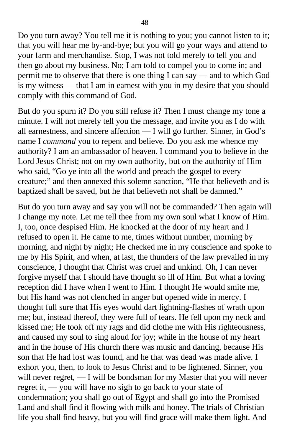Do you turn away? You tell me it is nothing to you; you cannot listen to it; that you will hear me by-and-bye; but you will go your ways and attend to your farm and merchandise. Stop, I was not told merely to tell you and then go about my business. No; I am told to compel you to come in; and permit me to observe that there is one thing I can say — and to which God is my witness — that I am in earnest with you in my desire that you should comply with this command of God.

But do you spurn it? Do you still refuse it? Then I must change my tone a minute. I will not merely tell you the message, and invite you as I do with all earnestness, and sincere affection — I will go further. Sinner, in God's name I *command* you to repent and believe. Do you ask me whence my authority? I am an ambassador of heaven. I command you to believe in the Lord Jesus Christ; not on my own authority, but on the authority of Him who said, "Go ye into all the world and preach the gospel to every creature;" and then annexed this solemn sanction, "He that believeth and is baptized shall be saved, but he that believeth not shall be damned."

But do you turn away and say you will not be commanded? Then again will I change my note. Let me tell thee from my own soul what I know of Him. I, too, once despised Him. He knocked at the door of my heart and I refused to open it. He came to me, times without number, morning by morning, and night by night; He checked me in my conscience and spoke to me by His Spirit, and when, at last, the thunders of the law prevailed in my conscience, I thought that Christ was cruel and unkind. Oh, I can never forgive myself that I should have thought so ill of Him. But what a loving reception did I have when I went to Him. I thought He would smite me, but His hand was not clenched in anger but opened wide in mercy. I thought full sure that His eyes would dart lightning-flashes of wrath upon me; but, instead thereof, they were full of tears. He fell upon my neck and kissed me; He took off my rags and did clothe me with His righteousness, and caused my soul to sing aloud for joy; while in the house of my heart and in the house of His church there was music and dancing, because His son that He had lost was found, and he that was dead was made alive. I exhort you, then, to look to Jesus Christ and to be lightened. Sinner, you will never regret, — I will be bondsman for my Master that you will never regret it, — you will have no sigh to go back to your state of condemnation; you shall go out of Egypt and shall go into the Promised Land and shall find it flowing with milk and honey. The trials of Christian life you shall find heavy, but you will find grace will make them light. And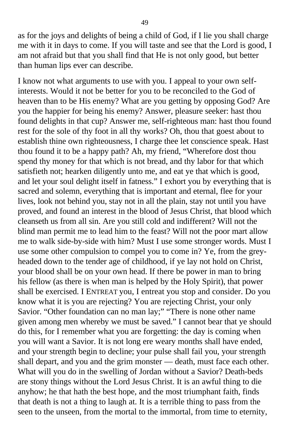as for the joys and delights of being a child of God, if I lie you shall charge me with it in days to come. If you will taste and see that the Lord is good, I am not afraid but that you shall find that He is not only good, but better than human lips ever can describe.

I know not what arguments to use with you. I appeal to your own selfinterests. Would it not be better for you to be reconciled to the God of heaven than to be His enemy? What are you getting by opposing God? Are you the happier for being his enemy? Answer, pleasure seeker: hast thou found delights in that cup? Answer me, self-righteous man: hast thou found rest for the sole of thy foot in all thy works? Oh, thou that goest about to establish thine own righteousness, I charge thee let conscience speak. Hast thou found it to be a happy path? Ah, my friend, "Wherefore dost thou spend thy money for that which is not bread, and thy labor for that which satisfieth not; hearken diligently unto me, and eat ye that which is good, and let your soul delight itself in fatness." I exhort you by everything that is sacred and solemn, everything that is important and eternal, flee for your lives, look not behind you, stay not in all the plain, stay not until you have proved, and found an interest in the blood of Jesus Christ, that blood which cleanseth us from all sin. Are you still cold and indifferent? Will not the blind man permit me to lead him to the feast? Will not the poor mart allow me to walk side-by-side with him? Must I use some stronger words. Must I use some other compulsion to compel you to come in? Ye, from the greyheaded down to the tender age of childhood, if ye lay not hold on Christ, your blood shall be on your own head. If there be power in man to bring his fellow (as there is when man is helped by the Holy Spirit), that power shall be exercised. I ENTREAT you, I entreat you stop and consider. Do you know what it is you are rejecting? You are rejecting Christ, your only Savior. "Other foundation can no man lay;" "There is none other name given among men whereby we must be saved." I cannot bear that ye should do this, for I remember what you are forgetting: the day is coming when you will want a Savior. It is not long ere weary months shall have ended, and your strength begin to decline; your pulse shall fail you, your strength shall depart, and you and the grim monster — death, must face each other. What will you do in the swelling of Jordan without a Savior? Death-beds are stony things without the Lord Jesus Christ. It is an awful thing to die anyhow; he that hath the best hope, and the most triumphant faith, finds that death is not a thing to laugh at. It is a terrible thing to pass from the seen to the unseen, from the mortal to the immortal, from time to eternity,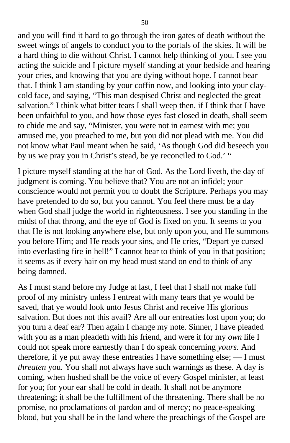and you will find it hard to go through the iron gates of death without the sweet wings of angels to conduct you to the portals of the skies. It will be a hard thing to die without Christ. I cannot help thinking of you. I see you acting the suicide and I picture myself standing at your bedside and hearing your cries, and knowing that you are dying without hope. I cannot bear that. I think I am standing by your coffin now, and looking into your claycold face, and saying, "This man despised Christ and neglected the great salvation." I think what bitter tears I shall weep then, if I think that I have been unfaithful to you, and how those eyes fast closed in death, shall seem to chide me and say, "Minister, you were not in earnest with me; you amused me, you preached to me, but you did not plead with me. You did not know what Paul meant when he said, 'As though God did beseech you by us we pray you in Christ's stead, be ye reconciled to God.' "

I picture myself standing at the bar of God. As the Lord liveth, the day of judgment is coming. You believe that? You are not an infidel; your conscience would not permit you to doubt the Scripture. Perhaps you may have pretended to do so, but you cannot. You feel there must be a day when God shall judge the world in righteousness. I see you standing in the midst of that throng, and the eye of God is fixed on you. It seems to you that He is not looking anywhere else, but only upon you, and He summons you before Him; and He reads your sins, and He cries, "Depart ye cursed into everlasting fire in hell!" I cannot bear to think of you in that position; it seems as if every hair on my head must stand on end to think of any being damned.

As I must stand before my Judge at last, I feel that I shall not make full proof of my ministry unless I entreat with many tears that ye would be saved, that ye would look unto Jesus Christ and receive His glorious salvation. But does not this avail? Are all our entreaties lost upon you; do you turn a deaf ear? Then again I change my note. Sinner, I have pleaded with you as a man pleadeth with his friend, and were it for my *own* life I could not speak more earnestly than I do speak concerning *yours.* And therefore, if ye put away these entreaties I have something else; — I must *threaten* you. You shall not always have such warnings as these. A day is coming, when hushed shall be the voice of every Gospel minister, at least for you; for your ear shall be cold in death. It shall not be anymore threatening; it shall be the fulfillment of the threatening. There shall be no promise, no proclamations of pardon and of mercy; no peace-speaking blood, but you shall be in the land where the preachings of the Gospel are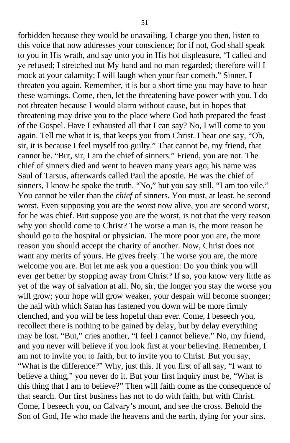forbidden because they would be unavailing. I charge you then, listen to this voice that now addresses your conscience; for if not, God shall speak to you in His wrath, and say unto you in His hot displeasure, "I called and ye refused; I stretched out My hand and no man regarded; therefore will I mock at your calamity; I will laugh when your fear cometh." Sinner, I threaten you again. Remember, it is but a short time you may have to hear these warnings. Come, then, let the threatening have power with you. I do not threaten because I would alarm without cause, but in hopes that threatening may drive you to the place where God hath prepared the feast of the Gospel. Have I exhausted all that I can say? No, I will come to you again. Tell me what it is, that keeps you from Christ. I hear one say, "Oh, sir, it is because I feel myself too guilty." That cannot be, my friend, that cannot be. "But, sir, I am the chief of sinners." Friend, you are not. The chief of sinners died and went to heaven many years ago; his name was Saul of Tarsus, afterwards called Paul the apostle. He was the chief of sinners, I know he spoke the truth. "No," but you say still, "I am too vile." You cannot be viler than the *chief* of sinners. You must, at least, be second worst. Even supposing you are the worst now alive, you are second worst, for he was chief. But suppose you are the worst, is not that the very reason why you should come to Christ? The worse a man is, the more reason he should go to the hospital or physician. The more poor you are, the more reason you should accept the charity of another. Now, Christ does not want any merits of yours. He gives freely. The worse you are, the more welcome you are. But let me ask you a question: Do you think you will ever get better by stopping away from Christ? If so, you know very little as yet of the way of salvation at all. No, sir, the longer you stay the worse you will grow; your hope will grow weaker, your despair will become stronger; the nail with which Satan has fastened you down will be more firmly clenched, and you will be less hopeful than ever. Come, I beseech you, recollect there is nothing to be gained by delay, but by delay everything may be lost. "But," cries another, "I feel I cannot believe." No, my friend, and you never will believe if you look first at your believing. Remember, I am not to invite you to faith, but to invite you to Christ. But you say, "What is the difference?" Why, just this. If you first of all say, "I want to believe a thing," you never do it. But your first inquiry must be, "What is this thing that I am to believe?" Then will faith come as the consequence of that search. Our first business has not to do with faith, but with Christ. Come, I beseech you, on Calvary's mount, and see the cross. Behold the Son of God, He who made the heavens and the earth, dying for your sins.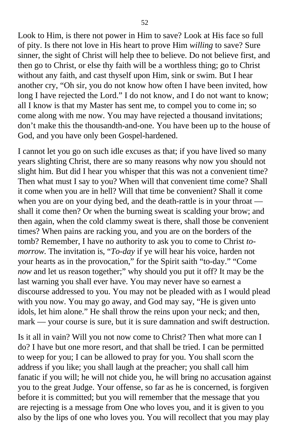Look to Him, is there not power in Him to save? Look at His face so full of pity. Is there not love in His heart to prove Him *willing* to save? Sure sinner, the sight of Christ will help thee to believe. Do not believe first, and then go to Christ, or else thy faith will be a worthless thing; go to Christ without any faith, and cast thyself upon Him, sink or swim. But I hear another cry, "Oh sir, you do not know how often I have been invited, how long I have rejected the Lord." I do not know, and I do not want to know; all I know is that my Master has sent me, to compel you to come in; so come along with me now. You may have rejected a thousand invitations; don't make this the thousandth-and-one. You have been up to the house of God, and you have only been Gospel-hardened.

I cannot let you go on such idle excuses as that; if you have lived so many years slighting Christ, there are so many reasons why now you should not slight him. But did I hear you whisper that this was not a convenient time? Then what must I say to you? When will that convenient time come? Shall it come when you are in hell? Will that time be convenient? Shall it come when you are on your dying bed, and the death-rattle is in your throat shall it come then? Or when the burning sweat is scalding your brow; and then again, when the cold clammy sweat is there, shall those be convenient times? When pains are racking you, and you are on the borders of the tomb? Remember, I have no authority to ask you to come to Christ *tomorrow.* The invitation is, "*To-day* if ye will hear his voice, harden not your hearts as in the provocation," for the Spirit saith "to-day." "Come *now* and let us reason together;" why should you put it off? It may be the last warning you shall ever have. You may never have so earnest a discourse addressed to you. You may not be pleaded with as I would plead with you now. You may go away, and God may say, "He is given unto idols, let him alone." He shall throw the reins upon your neck; and then, mark — your course is sure, but it is sure damnation and swift destruction.

Is it all in vain? Will you not now come to Christ? Then what more can I do? I have but one more resort, and that shall be tried. I can be permitted to weep for you; I can be allowed to pray for you. You shall scorn the address if you like; you shall laugh at the preacher; you shall call him fanatic if you will; he will not chide you, he will bring no accusation against you to the great Judge. Your offense, so far as he is concerned, is forgiven before it is committed; but you will remember that the message that you are rejecting is a message from One who loves you, and it is given to you also by the lips of one who loves you. You will recollect that you may play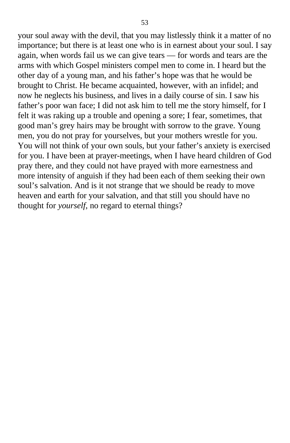your soul away with the devil, that you may listlessly think it a matter of no importance; but there is at least one who is in earnest about your soul. I say again, when words fail us we can give tears — for words and tears are the arms with which Gospel ministers compel men to come in. I heard but the other day of a young man, and his father's hope was that he would be brought to Christ. He became acquainted, however, with an infidel; and now he neglects his business, and lives in a daily course of sin. I saw his father's poor wan face; I did not ask him to tell me the story himself, for I felt it was raking up a trouble and opening a sore; I fear, sometimes, that good man's grey hairs may be brought with sorrow to the grave. Young men, you do not pray for yourselves, but your mothers wrestle for you. You will not think of your own souls, but your father's anxiety is exercised for you. I have been at prayer-meetings, when I have heard children of God pray there, and they could not have prayed with more earnestness and more intensity of anguish if they had been each of them seeking their own soul's salvation. And is it not strange that we should be ready to move heaven and earth for your salvation, and that still you should have no thought for *yourself,* no regard to eternal things?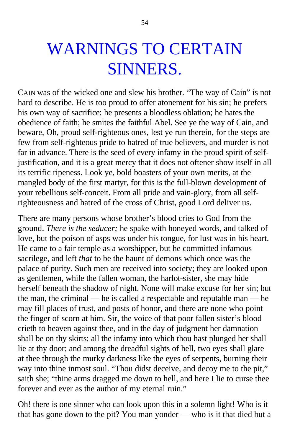# WARNINGS TO CERTAIN SINNERS.

CAIN was of the wicked one and slew his brother. "The way of Cain" is not hard to describe. He is too proud to offer atonement for his sin; he prefers his own way of sacrifice; he presents a bloodless oblation; he hates the obedience of faith; he smites the faithful Abel. See ye the way of Cain, and beware, Oh, proud self-righteous ones, lest ye run therein, for the steps are few from self-righteous pride to hatred of true believers, and murder is not far in advance. There is the seed of every infamy in the proud spirit of selfjustification, and it is a great mercy that it does not oftener show itself in all its terrific ripeness. Look ye, bold boasters of your own merits, at the mangled body of the first martyr, for this is the full-blown development of your rebellious self-conceit. From all pride and vain-glory, from all selfrighteousness and hatred of the cross of Christ, good Lord deliver us.

There are many persons whose brother's blood cries to God from the ground. *There is the seducer;* he spake with honeyed words, and talked of love, but the poison of asps was under his tongue, for lust was in his heart. He came to a fair temple as a worshipper, but he committed infamous sacrilege, and left *that* to be the haunt of demons which once was the palace of purity. Such men are received into society; they are looked upon as gentlemen, while the fallen woman, the harlot-sister, she may hide herself beneath the shadow of night. None will make excuse for her sin; but the man, the criminal — he is called a respectable and reputable man — he may fill places of trust, and posts of honor, and there are none who point the finger of scorn at him. Sir, the voice of that poor fallen sister's blood crieth to heaven against thee, and in the day of judgment her damnation shall be on thy skirts; all the infamy into which thou hast plunged her shall lie at thy door; and among the dreadful sights of hell, two eyes shall glare at thee through the murky darkness like the eyes of serpents, burning their way into thine inmost soul. "Thou didst deceive, and decoy me to the pit," saith she; "thine arms dragged me down to hell, and here I lie to curse thee forever and ever as the author of my eternal ruin."

Oh! there is one sinner who can look upon this in a solemn light! Who is it that has gone down to the pit? You man yonder — who is it that died but a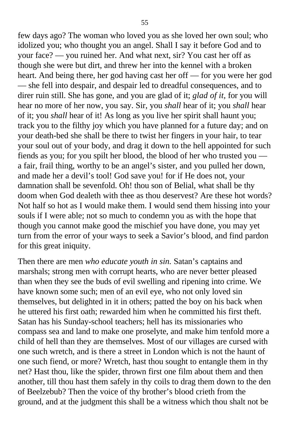few days ago? The woman who loved you as she loved her own soul; who idolized you; who thought you an angel. Shall I say it before God and to your face? — you ruined her. And what next, sir? You cast her off as though she were but dirt, and threw her into the kennel with a broken heart. And being there, her god having cast her off — for you were her god — she fell into despair, and despair led to dreadful consequences, and to direr ruin still. She has gone, and you are glad of it; *glad of it,* for you will hear no more of her now, you say. Sir, you *shall* hear of it; you *shall* hear of it; you *shall* hear of it! As long as you live her spirit shall haunt you; track you to the filthy joy which you have planned for a future day; and on your death-bed she shall be there to twist her fingers in your hair, to tear your soul out of your body, and drag it down to the hell appointed for such fiends as you; for you spilt her blood, the blood of her who trusted you a fair, frail thing, worthy to be an angel's sister, and you pulled her down, and made her a devil's tool! God save you! for if He does not, your damnation shall be sevenfold. Oh! thou son of Belial, what shall be thy doom when God dealeth with thee as thou deservest? Are these hot words? Not half so hot as I would make them. I would send them hissing into your souls if I were able; not so much to condemn you as with the hope that though you cannot make good the mischief you have done, you may yet turn from the error of your ways to seek a Savior's blood, and find pardon for this great iniquity.

Then there are men *who educate youth in sin.* Satan's captains and marshals; strong men with corrupt hearts, who are never better pleased than when they see the buds of evil swelling and ripening into crime. We have known some such; men of an evil eye, who not only loved sin themselves, but delighted in it in others; patted the boy on his back when he uttered his first oath; rewarded him when he committed his first theft. Satan has his Sunday-school teachers; hell has its missionaries who compass sea and land to make one proselyte, and make him tenfold more a child of hell than they are themselves. Most of our villages are cursed with one such wretch, and is there a street in London which is not the haunt of one such fiend, or more? Wretch, hast thou sought to entangle them in thy net? Hast thou, like the spider, thrown first one film about them and then another, till thou hast them safely in thy coils to drag them down to the den of Beelzebub? Then the voice of thy brother's blood crieth from the ground, and at the judgment this shall be a witness which thou shalt not be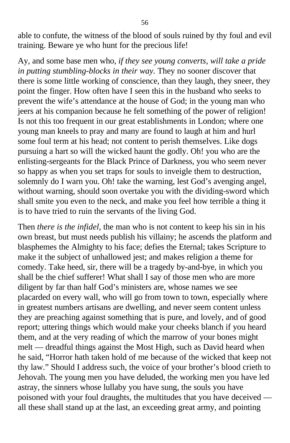able to confute, the witness of the blood of souls ruined by thy foul and evil training. Beware ye who hunt for the precious life!

Ay, and some base men who, *if they see young converts, will take a pride in putting stumbling-blocks in their way.* They no sooner discover that there is some little working of conscience, than they laugh, they sneer, they point the finger. How often have I seen this in the husband who seeks to prevent the wife's attendance at the house of God; in the young man who jeers at his companion because he felt something of the power of religion! Is not this too frequent in our great establishments in London; where one young man kneels to pray and many are found to laugh at him and hurl some foul term at his head; not content to perish themselves. Like dogs pursuing a hart so will the wicked haunt the godly. Oh! you who are the enlisting-sergeants for the Black Prince of Darkness, you who seem never so happy as when you set traps for souls to inveigle them to destruction, solemnly do I warn you. Oh! take the warning, lest God's avenging angel, without warning, should soon overtake you with the dividing-sword which shall smite you even to the neck, and make you feel how terrible a thing it is to have tried to ruin the servants of the living God.

Then *there is the infidel,* the man who is not content to keep his sin in his own breast, but must needs publish his villainy; he ascends the platform and blasphemes the Almighty to his face; defies the Eternal; takes Scripture to make it the subject of unhallowed jest; and makes religion a theme for comedy. Take heed, sir, there will be a tragedy by-and-bye, in which you shall be the chief sufferer! What shall I say of those men who are more diligent by far than half God's ministers are, whose names we see placarded on every wall, who will go from town to town, especially where in greatest numbers artisans are dwelling, and never seem content unless they are preaching against something that is pure, and lovely, and of good report; uttering things which would make your cheeks blanch if you heard them, and at the very reading of which the marrow of your bones might melt — dreadful things against the Most High, such as David heard when he said, "Horror hath taken hold of me because of the wicked that keep not thy law." Should I address such, the voice of your brother's blood crieth to Jehovah. The young men you have deluded, the working men you have led astray, the sinners whose lullaby you have sung, the souls you have poisoned with your foul draughts, the multitudes that you have deceived all these shall stand up at the last, an exceeding great army, and pointing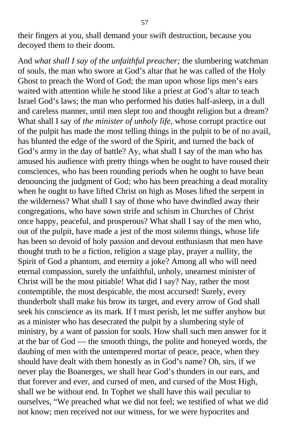their fingers at you, shall demand your swift destruction, because you decoyed them to their doom.

And *what shall I say of the unfaithful preacher;* the slumbering watchman of souls, the man who swore at God's altar that he was called of the Holy Ghost to preach the Word of God; the man upon whose lips men's ears waited with attention while he stood like a priest at God's altar to teach Israel God's laws; the man who performed his duties half-asleep, in a dull and careless manner, until men slept too and thought religion but a dream? What shall I say of *the minister of unholy life,* whose corrupt practice out of the pulpit has made the most telling things in the pulpit to be of no avail, has blunted the edge of the sword of the Spirit, and turned the back of God's army in the day of battle? Ay, what shall I say of the man who has amused his audience with pretty things when he ought to have roused their consciences, who has been rounding periods when he ought to have bean denouncing the judgment of God; who has been preaching a dead morality when he ought to have lifted Christ on high as Moses lifted the serpent in the wilderness? What shall I say of those who have dwindled away their congregations, who have sown strife and schism in Churches of Christ once happy, peaceful, and prosperous? What shall I say of the men who, out of the pulpit, have made a jest of the most solemn things, whose life has been so devoid of holy passion and devout enthusiasm that men have thought truth to be a fiction, religion a stage play, prayer a nullity, the Spirit of God a phantom, and eternity a joke? Among all who will need eternal compassion, surely the unfaithful, unholy, unearnest minister of Christ will be the most pitiable! What did I say? Nay, rather the most contemptible, the most despicable, the most accursed! Surely, every thunderbolt shall make his brow its target, and every arrow of God shall seek his conscience as its mark. If I must perish, let me suffer anyhow but as a minister who has desecrated the pulpit by a slumbering style of ministry, by a want of passion for souls. How shall such men answer for it at the bar of God — the smooth things, the polite and honeyed words, the daubing of men with the untempered mortar of peace, peace, when they should have dealt with them honestly as in God's name? Oh, sirs, if we never play the Boanerges, we shall hear God's thunders in our ears, and that forever and ever, and cursed of men, and cursed of the Most High, shall we be without end. In Tophet we shall have this wail peculiar to ourselves, "We preached what we did not feel; we testified of what we did not know; men received not our witness, for we were hypocrites and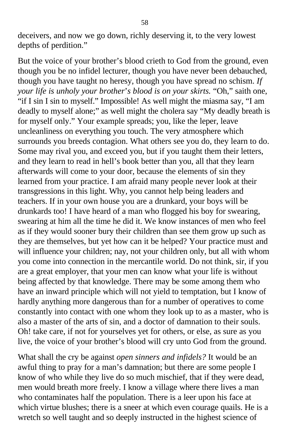deceivers, and now we go down, richly deserving it, to the very lowest depths of perdition."

But the voice of your brother's blood crieth to God from the ground, even though you be no infidel lecturer, though you have never been debauched, though you have taught no heresy, though you have spread no schism. *If your life is unholy your brother*'*s blood is on your skirts.* "Oh," saith one, "if I sin I sin to myself." Impossible! As well might the miasma say, "I am deadly to myself alone;" as well might the cholera say "My deadly breath is for myself only." Your example spreads; you, like the leper, leave uncleanliness on everything you touch. The very atmosphere which surrounds you breeds contagion. What others see you do, they learn to do. Some may rival you, and exceed you, but if you taught them their letters, and they learn to read in hell's book better than you, all that they learn afterwards will come to your door, because the elements of sin they learned from your practice. I am afraid many people never look at their transgressions in this light. Why, you cannot help being leaders and teachers. If in your own house you are a drunkard, your boys will be drunkards too! I have heard of a man who flogged his boy for swearing, swearing at him all the time he did it. We know instances of men who feel as if they would sooner bury their children than see them grow up such as they are themselves, but yet how can it be helped? Your practice must and will influence your children; nay, not your children only, but all with whom you come into connection in the mercantile world. Do not think, sir, if you are a great employer, that your men can know what your life is without being affected by that knowledge. There may be some among them who have an inward principle which will not yield to temptation, but I know of hardly anything more dangerous than for a number of operatives to come constantly into contact with one whom they look up to as a master, who is also a master of the arts of sin, and a doctor of damnation to their souls. Oh! take care, if not for yourselves yet for others, or else, as sure as you live, the voice of your brother's blood will cry unto God from the ground.

What shall the cry be against *open sinners and infidels?* It would be an awful thing to pray for a man's damnation; but there are some people I know of who while they live do so much mischief, that if they were dead, men would breath more freely. I know a village where there lives a man who contaminates half the population. There is a leer upon his face at which virtue blushes; there is a sneer at which even courage quails. He is a wretch so well taught and so deeply instructed in the highest science of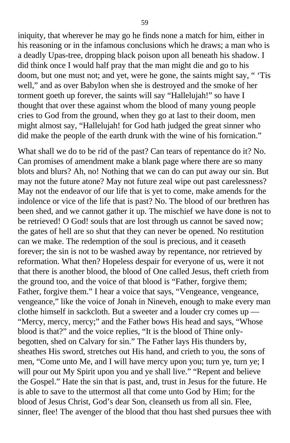iniquity, that wherever he may go he finds none a match for him, either in his reasoning or in the infamous conclusions which he draws; a man who is a deadly Upas-tree, dropping black poison upon all beneath his shadow. I did think once I would half pray that the man might die and go to his doom, but one must not; and yet, were he gone, the saints might say, " 'Tis well," and as over Babylon when she is destroyed and the smoke of her torment goeth up forever, the saints will say "Hallelujah!" so have I thought that over these against whom the blood of many young people cries to God from the ground, when they go at last to their doom, men might almost say, "Hallelujah! for God hath judged the great sinner who did make the people of the earth drunk with the wine of his fornication."

What shall we do to be rid of the past? Can tears of repentance do it? No. Can promises of amendment make a blank page where there are so many blots and blurs? Ah, no! Nothing that we can do can put away our sin. But may not the future atone? May not future zeal wipe out past carelessness? May not the endeavor of our life that is yet to come, make amends for the indolence or vice of the life that is past? No. The blood of our brethren has been shed, and we cannot gather it up. The mischief we have done is not to be retrieved! O God! souls that are lost through us cannot be saved now; the gates of hell are so shut that they can never be opened. No restitution can we make. The redemption of the soul is precious, and it ceaseth forever; the sin is not to be washed away by repentance, nor retrieved by reformation. What then? Hopeless despair for everyone of us, were it not that there is another blood, the blood of One called Jesus, theft crieth from the ground too, and the voice of that blood is "Father, forgive them; Father, forgive them." I hear a voice that says, "Vengeance, vengeance, vengeance," like the voice of Jonah in Nineveh, enough to make every man clothe himself in sackcloth. But a sweeter and a louder cry comes up — "Mercy, mercy, mercy;" and the Father bows His head and says, "Whose" blood is that?" and the voice replies, "It is the blood of Thine onlybegotten, shed on Calvary for sin." The Father lays His thunders by, sheathes His sword, stretches out His hand, and crieth to you, the sons of men, "Come unto Me, and I will have mercy upon you; turn ye, turn ye; I will pour out My Spirit upon you and ye shall live." "Repent and believe the Gospel." Hate the sin that is past, and, trust in Jesus for the future. He is able to save to the uttermost all that come unto God by Him; for the blood of Jesus Christ, God's dear Son, cleanseth us from all sin. Flee, sinner, flee! The avenger of the blood that thou hast shed pursues thee with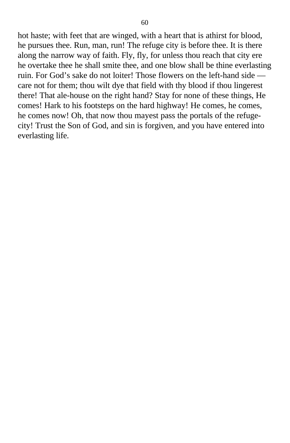hot haste; with feet that are winged, with a heart that is athirst for blood, he pursues thee. Run, man, run! The refuge city is before thee. It is there along the narrow way of faith. Fly, fly, for unless thou reach that city ere he overtake thee he shall smite thee, and one blow shall be thine everlasting ruin. For God's sake do not loiter! Those flowers on the left-hand side care not for them; thou wilt dye that field with thy blood if thou lingerest there! That ale-house on the right hand? Stay for none of these things, He comes! Hark to his footsteps on the hard highway! He comes, he comes, he comes now! Oh, that now thou mayest pass the portals of the refugecity! Trust the Son of God, and sin is forgiven, and you have entered into everlasting life.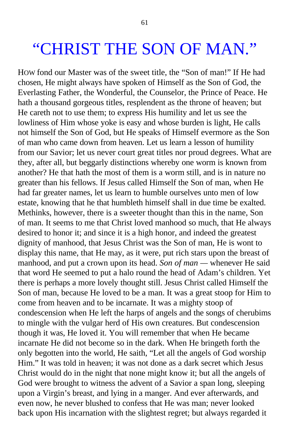### "CHRIST THE SON OF MAN."

HOW fond our Master was of the sweet title, the "Son of man!" If He had chosen, He might always have spoken of Himself as the Son of God, the Everlasting Father, the Wonderful, the Counselor, the Prince of Peace. He hath a thousand gorgeous titles, resplendent as the throne of heaven; but He careth not to use them; to express His humility and let us see the lowliness of Him whose yoke is easy and whose burden is light, He calls not himself the Son of God, but He speaks of Himself evermore as the Son of man who came down from heaven. Let us learn a lesson of humility from our Savior; let us never court great titles nor proud degrees. What are they, after all, but beggarly distinctions whereby one worm is known from another? He that hath the most of them is a worm still, and is in nature no greater than his fellows. If Jesus called Himself the Son of man, when He had far greater names, let us learn to humble ourselves unto men of low estate, knowing that he that humbleth himself shall in due time be exalted. Methinks, however, there is a sweeter thought than this in the name, Son of man. It seems to me that Christ loved manhood so much, that He always desired to honor it; and since it is a high honor, and indeed the greatest dignity of manhood, that Jesus Christ was the Son of man, He is wont to display this name, that He may, as it were, put rich stars upon the breast of manhood, and put a crown upon its head. *Son of man —* whenever He said that word He seemed to put a halo round the head of Adam's children. Yet there is perhaps a more lovely thought still. Jesus Christ called Himself the Son of man, because He loved to be a man. It was a great stoop for Him to come from heaven and to be incarnate. It was a mighty stoop of condescension when He left the harps of angels and the songs of cherubims to mingle with the vulgar herd of His own creatures. But condescension though it was, He loved it. You will remember that when He became incarnate He did not become so in the dark. When He bringeth forth the only begotten into the world, He saith, "Let all the angels of God worship Him." It was told in heaven; it was not done as a dark secret which Jesus Christ would do in the night that none might know it; but all the angels of God were brought to witness the advent of a Savior a span long, sleeping upon a Virgin's breast, and lying in a manger. And ever afterwards, and even now, he never blushed to confess that He was man; never looked back upon His incarnation with the slightest regret; but always regarded it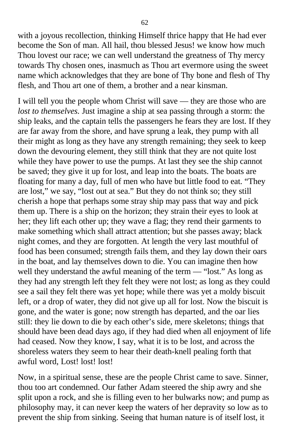with a joyous recollection, thinking Himself thrice happy that He had ever become the Son of man. All hail, thou blessed Jesus! we know how much Thou lovest our race; we can well understand the greatness of Thy mercy towards Thy chosen ones, inasmuch as Thou art evermore using the sweet name which acknowledges that they are bone of Thy bone and flesh of Thy flesh, and Thou art one of them, a brother and a near kinsman.

I will tell you the people whom Christ will save — they are those who are *lost to themselves.* Just imagine a ship at sea passing through a storm: the ship leaks, and the captain tells the passengers he fears they are lost. If they are far away from the shore, and have sprung a leak, they pump with all their might as long as they have any strength remaining; they seek to keep down the devouring element, they still think that they are not quite lost while they have power to use the pumps. At last they see the ship cannot be saved; they give it up for lost, and leap into the boats. The boats are floating for many a day, full of men who have but little food to eat. "They are lost," we say, "lost out at sea." But they do not think so; they still cherish a hope that perhaps some stray ship may pass that way and pick them up. There is a ship on the horizon; they strain their eyes to look at her; they lift each other up; they wave a flag; they rend their garments to make something which shall attract attention; but she passes away; black night comes, and they are forgotten. At length the very last mouthful of food has been consumed; strength fails them, and they lay down their oars in the boat, and lay themselves down to die. You can imagine then how well they understand the awful meaning of the term — "lost." As long as they had any strength left they felt they were not lost; as long as they could see a sail they felt there was yet hope; while there was yet a moldy biscuit left, or a drop of water, they did not give up all for lost. Now the biscuit is gone, and the water is gone; now strength has departed, and the oar lies still: they lie down to die by each other's side, mere skeletons; things that should have been dead days ago, if they had died when all enjoyment of life had ceased. Now they know, I say, what it is to be lost, and across the shoreless waters they seem to hear their death-knell pealing forth that awful word, Lost! lost! lost!

Now, in a spiritual sense, these are the people Christ came to save. Sinner, thou too art condemned. Our father Adam steered the ship awry and she split upon a rock, and she is filling even to her bulwarks now; and pump as philosophy may, it can never keep the waters of her depravity so low as to prevent the ship from sinking. Seeing that human nature is of itself lost, it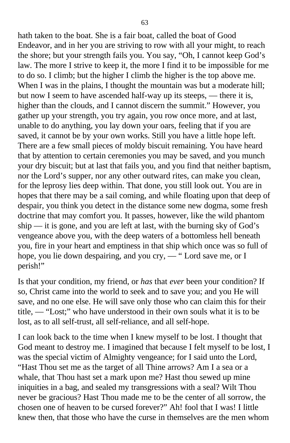hath taken to the boat. She is a fair boat, called the boat of Good Endeavor, and in her you are striving to row with all your might, to reach the shore; but your strength fails you. You say, "Oh, I cannot keep God's law. The more I strive to keep it, the more I find it to be impossible for me to do so. I climb; but the higher I climb the higher is the top above me. When I was in the plains, I thought the mountain was but a moderate hill; but now I seem to have ascended half-way up its steeps, — there it is, higher than the clouds, and I cannot discern the summit." However, you gather up your strength, you try again, you row once more, and at last, unable to do anything, you lay down your oars, feeling that if you are saved, it cannot be by your own works. Still you have a little hope left. There are a few small pieces of moldy biscuit remaining. You have heard that by attention to certain ceremonies you may be saved, and you munch your dry biscuit; but at last that fails you, and you find that neither baptism, nor the Lord's supper, nor any other outward rites, can make you clean, for the leprosy lies deep within. That done, you still look out. You are in hopes that there may be a sail coming, and while floating upon that deep of despair, you think you detect in the distance some new dogma, some fresh doctrine that may comfort you. It passes, however, like the wild phantom ship — it is gone, and you are left at last, with the burning sky of God's vengeance above you, with the deep waters of a bottomless hell beneath you, fire in your heart and emptiness in that ship which once was so full of hope, you lie down despairing, and you cry, — "Lord save me, or I perish!"

Is that your condition, my friend, or *has* that *ever* been your condition? If so, Christ came into the world to seek and to save you; and you He will save, and no one else. He will save only those who can claim this for their title, — "Lost;" who have understood in their own souls what it is to be lost, as to all self-trust, all self-reliance, and all self-hope.

I can look back to the time when I knew myself to be lost. I thought that God meant to destroy me. I imagined that because I felt myself to be lost, I was the special victim of Almighty vengeance; for I said unto the Lord, "Hast Thou set me as the target of all Thine arrows? Am I a sea or a whale, that Thou hast set a mark upon me? Hast thou sewed up mine iniquities in a bag, and sealed my transgressions with a seal? Wilt Thou never be gracious? Hast Thou made me to be the center of all sorrow, the chosen one of heaven to be cursed forever?" Ah! fool that I was! I little knew then, that those who have the curse in themselves are the men whom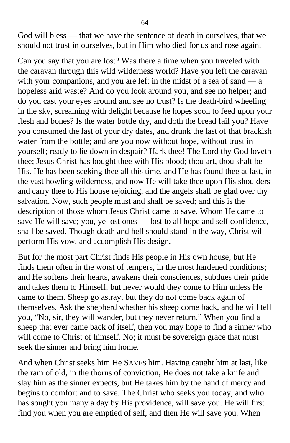God will bless — that we have the sentence of death in ourselves, that we should not trust in ourselves, but in Him who died for us and rose again.

Can you say that you are lost? Was there a time when you traveled with the caravan through this wild wilderness world? Have you left the caravan with your companions, and you are left in the midst of a sea of sand — a hopeless arid waste? And do you look around you, and see no helper; and do you cast your eyes around and see no trust? Is the death-bird wheeling in the sky, screaming with delight because he hopes soon to feed upon your flesh and bones? Is the water bottle dry, and doth the bread fail you? Have you consumed the last of your dry dates, and drunk the last of that brackish water from the bottle; and are you now without hope, without trust in yourself; ready to lie down in despair? Hark thee! The Lord thy God loveth thee; Jesus Christ has bought thee with His blood; thou art, thou shalt be His. He has been seeking thee all this time, and He has found thee at last, in the vast howling wilderness, and now He will take thee upon His shoulders and carry thee to His house rejoicing, and the angels shall be glad over thy salvation. Now, such people must and shall be saved; and this is the description of those whom Jesus Christ came to save. Whom He came to save He will save; you, ye lost ones — lost to all hope and self confidence, shall be saved. Though death and hell should stand in the way, Christ will perform His vow, and accomplish His design.

But for the most part Christ finds His people in His own house; but He finds them often in the worst of tempers, in the most hardened conditions; and He softens their hearts, awakens their consciences, subdues their pride and takes them to Himself; but never would they come to Him unless He came to them. Sheep go astray, but they do not come back again of themselves. Ask the shepherd whether his sheep come back, and he will tell you, "No, sir, they will wander, but they never return." When you find a sheep that ever came back of itself, then you may hope to find a sinner who will come to Christ of himself. No; it must be sovereign grace that must seek the sinner and bring him home.

And when Christ seeks him He SAVES him. Having caught him at last, like the ram of old, in the thorns of conviction, He does not take a knife and slay him as the sinner expects, but He takes him by the hand of mercy and begins to comfort and to save. The Christ who seeks you today, and who has sought you many a day by His providence, will save you. He will first find you when you are emptied of self, and then He will save you. When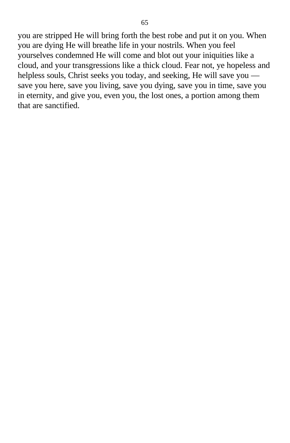you are stripped He will bring forth the best robe and put it on you. When you are dying He will breathe life in your nostrils. When you feel yourselves condemned He will come and blot out your iniquities like a cloud, and your transgressions like a thick cloud. Fear not, ye hopeless and helpless souls, Christ seeks you today, and seeking, He will save you save you here, save you living, save you dying, save you in time, save you in eternity, and give you, even you, the lost ones, a portion among them that are sanctified.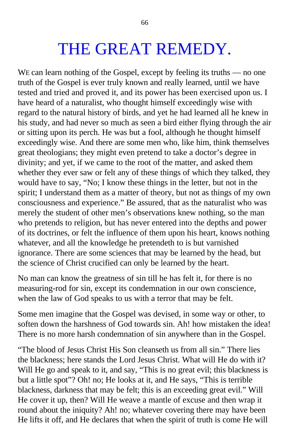# THE GREAT REMEDY.

WE can learn nothing of the Gospel, except by feeling its truths — no one truth of the Gospel is ever truly known and really learned, until we have tested and tried and proved it, and its power has been exercised upon us. I have heard of a naturalist, who thought himself exceedingly wise with regard to the natural history of birds, and yet he had learned all he knew in his study, and had never so much as seen a bird either flying through the air or sitting upon its perch. He was but a fool, although he thought himself exceedingly wise. And there are some men who, like him, think themselves great theologians; they might even pretend to take a doctor's degree in divinity; and yet, if we came to the root of the matter, and asked them whether they ever saw or felt any of these things of which they talked, they would have to say, "No; I know these things in the letter, but not in the spirit; I understand them as a matter of theory, but not as things of my own consciousness and experience." Be assured, that as the naturalist who was merely the student of other men's observations knew nothing, so the man who pretends to religion, but has never entered into the depths and power of its doctrines, or felt the influence of them upon his heart, knows nothing whatever, and all the knowledge he pretendeth to is but varnished ignorance. There are some sciences that may be learned by the head, but the science of Christ crucified can only be learned by the heart.

No man can know the greatness of sin till he has felt it, for there is no measuring-rod for sin, except its condemnation in our own conscience, when the law of God speaks to us with a terror that may be felt.

Some men imagine that the Gospel was devised, in some way or other, to soften down the harshness of God towards sin. Ah! how mistaken the idea! There is no more harsh condemnation of sin anywhere than in the Gospel.

"The blood of Jesus Christ His Son cleanseth us from all sin." There lies the blackness; here stands the Lord Jesus Christ. What will He do with it? Will He go and speak to it, and say, "This is no great evil; this blackness is but a little spot"? Oh! no; He looks at it, and He says, "This is terrible blackness, darkness that may be felt; this is an exceeding great evil." Will He cover it up, then? Will He weave a mantle of excuse and then wrap it round about the iniquity? Ah! no; whatever covering there may have been He lifts it off, and He declares that when the spirit of truth is come He will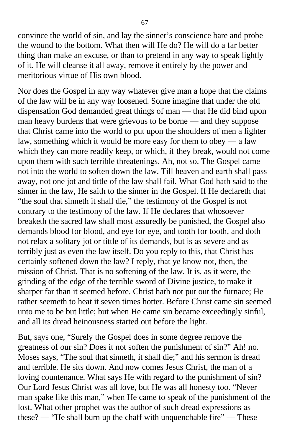convince the world of sin, and lay the sinner's conscience bare and probe the wound to the bottom. What then will He do? He will do a far better thing than make an excuse, or than to pretend in any way to speak lightly of it. He will cleanse it all away, remove it entirely by the power and meritorious virtue of His own blood.

Nor does the Gospel in any way whatever give man a hope that the claims of the law will be in any way loosened. Some imagine that under the old dispensation God demanded great things of man — that He did bind upon man heavy burdens that were grievous to be borne — and they suppose that Christ came into the world to put upon the shoulders of men a lighter law, something which it would be more easy for them to obey — a law which they can more readily keep, or which, if they break, would not come upon them with such terrible threatenings. Ah, not so. The Gospel came not into the world to soften down the law. Till heaven and earth shall pass away, not one jot and tittle of the law shall fail. What God hath said to the sinner in the law, He saith to the sinner in the Gospel. If He declareth that "the soul that sinneth it shall die," the testimony of the Gospel is not contrary to the testimony of the law. If He declares that whosoever breaketh the sacred law shall most assuredly be punished, the Gospel also demands blood for blood, and eye for eye, and tooth for tooth, and doth not relax a solitary jot or tittle of its demands, but is as severe and as terribly just as even the law itself. Do you reply to this, that Christ has certainly softened down the law? I reply, that ye know not, then, the mission of Christ. That is no softening of the law. It is, as it were, the grinding of the edge of the terrible sword of Divine justice, to make it sharper far than it seemed before. Christ hath not put out the furnace; He rather seemeth to heat it seven times hotter. Before Christ came sin seemed unto me to be but little; but when He came sin became exceedingly sinful, and all its dread heinousness started out before the light.

But, says one, "Surely the Gospel does in some degree remove the greatness of our sin? Does it not soften the punishment of sin?" Ah! no. Moses says, "The soul that sinneth, it shall die;" and his sermon is dread and terrible. He sits down. And now comes Jesus Christ, the man of a loving countenance. What says He with regard to the punishment of sin? Our Lord Jesus Christ was all love, but He was all honesty too. "Never man spake like this man," when He came to speak of the punishment of the lost. What other prophet was the author of such dread expressions as these? — "He shall burn up the chaff with unquenchable fire" — These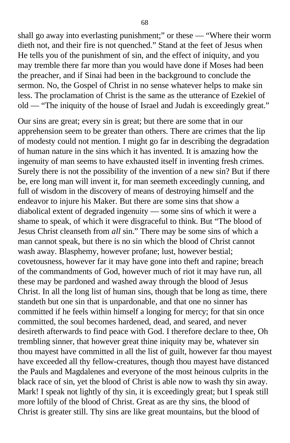shall go away into everlasting punishment;" or these — "Where their worm dieth not, and their fire is not quenched." Stand at the feet of Jesus when He tells you of the punishment of sin, and the effect of iniquity, and you may tremble there far more than you would have done if Moses had been the preacher, and if Sinai had been in the background to conclude the sermon. No, the Gospel of Christ in no sense whatever helps to make sin less. The proclamation of Christ is the same as the utterance of Ezekiel of old — "The iniquity of the house of Israel and Judah is exceedingly great."

Our sins are great; every sin is great; but there are some that in our apprehension seem to be greater than others. There are crimes that the lip of modesty could not mention. I might go far in describing the degradation of human nature in the sins which it has invented. It is amazing how the ingenuity of man seems to have exhausted itself in inventing fresh crimes. Surely there is not the possibility of the invention of a new sin? But if there be, ere long man will invent it, for man seemeth exceedingly cunning, and full of wisdom in the discovery of means of destroying himself and the endeavor to injure his Maker. But there are some sins that show a diabolical extent of degraded ingenuity — some sins of which it were a shame to speak, of which it were disgraceful to think. But "The blood of Jesus Christ cleanseth from *all* sin." There may be some sins of which a man cannot speak, but there is no sin which the blood of Christ cannot wash away. Blasphemy, however profane; lust, however bestial; covetousness, however far it may have gone into theft and rapine; breach of the commandments of God, however much of riot it may have run, all these may be pardoned and washed away through the blood of Jesus Christ. In all the long list of human sins, though that be long as time, there standeth but one sin that is unpardonable, and that one no sinner has committed if he feels within himself a longing for mercy; for that sin once committed, the soul becomes hardened, dead, and seared, and never desireth afterwards to find peace with God. I therefore declare to thee, Oh trembling sinner, that however great thine iniquity may be, whatever sin thou mayest have committed in all the list of guilt, however far thou mayest have exceeded all thy fellow-creatures, though thou mayest have distanced the Pauls and Magdalenes and everyone of the most heinous culprits in the black race of sin, yet the blood of Christ is able now to wash thy sin away. Mark! I speak not lightly of thy sin, it is exceedingly great; but I speak still more loftily of the blood of Christ. Great as are thy sins, the blood of Christ is greater still. Thy sins are like great mountains, but the blood of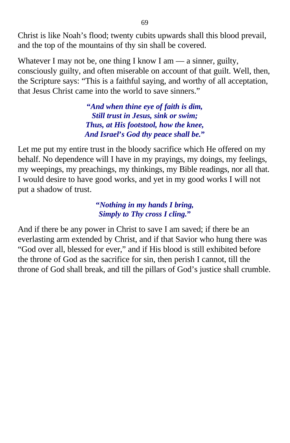Christ is like Noah's flood; twenty cubits upwards shall this blood prevail, and the top of the mountains of thy sin shall be covered.

Whatever I may not be, one thing I know I am  $-$  a sinner, guilty, consciously guilty, and often miserable on account of that guilt. Well, then, the Scripture says: "This is a faithful saying, and worthy of all acceptation, that Jesus Christ came into the world to save sinners."

> **"***And when thine eye of faith is dim, Still trust in Jesus, sink or swim; Thus, at His footstool, how the knee, And Israel***'***s God thy peace shall be.***"**

Let me put my entire trust in the bloody sacrifice which He offered on my behalf. No dependence will I have in my prayings, my doings, my feelings, my weepings, my preachings, my thinkings, my Bible readings, nor all that. I would desire to have good works, and yet in my good works I will not put a shadow of trust.

#### **"***Nothing in my hands I bring, Simply to Thy cross I cling.***"**

And if there be any power in Christ to save I am saved; if there be an everlasting arm extended by Christ, and if that Savior who hung there was "God over all, blessed for ever," and if His blood is still exhibited before the throne of God as the sacrifice for sin, then perish I cannot, till the throne of God shall break, and till the pillars of God's justice shall crumble.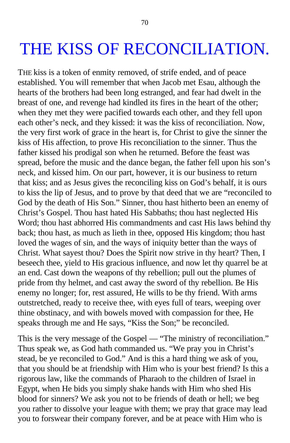# THE KISS OF RECONCILIATION.

THE kiss is a token of enmity removed, of strife ended, and of peace established. You will remember that when Jacob met Esau, although the hearts of the brothers had been long estranged, and fear had dwelt in the breast of one, and revenge had kindled its fires in the heart of the other; when they met they were pacified towards each other, and they fell upon each other's neck, and they kissed: it was the kiss of reconciliation. Now, the very first work of grace in the heart is, for Christ to give the sinner the kiss of His affection, to prove His reconciliation to the sinner. Thus the father kissed his prodigal son when he returned. Before the feast was spread, before the music and the dance began, the father fell upon his son's neck, and kissed him. On our part, however, it is our business to return that kiss; and as Jesus gives the reconciling kiss on God's behalf, it is ours to kiss the lip of Jesus, and to prove by that deed that we are "reconciled to God by the death of His Son." Sinner, thou hast hitherto been an enemy of Christ's Gospel. Thou hast hated His Sabbaths; thou hast neglected His Word; thou hast abhorred His commandments and cast His laws behind thy back; thou hast, as much as lieth in thee, opposed His kingdom; thou hast loved the wages of sin, and the ways of iniquity better than the ways of Christ. What sayest thou? Does the Spirit now strive in thy heart? Then, I beseech thee, yield to His gracious influence, and now let thy quarrel be at an end. Cast down the weapons of thy rebellion; pull out the plumes of pride from thy helmet, and cast away the sword of thy rebellion. Be His enemy no longer; for, rest assured, He wills to be thy friend. With arms outstretched, ready to receive thee, with eyes full of tears, weeping over thine obstinacy, and with bowels moved with compassion for thee, He speaks through me and He says, "Kiss the Son;" be reconciled.

This is the very message of the Gospel — "The ministry of reconciliation." Thus speak we, as God hath commanded us. "We pray you in Christ's stead, be ye reconciled to God." And is this a hard thing we ask of you, that you should be at friendship with Him who is your best friend? Is this a rigorous law, like the commands of Pharaoh to the children of Israel in Egypt, when He bids you simply shake hands with Him who shed His blood for sinners? We ask you not to be friends of death or hell; we beg you rather to dissolve your league with them; we pray that grace may lead you to forswear their company forever, and be at peace with Him who is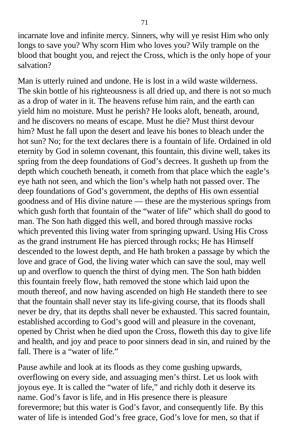incarnate love and infinite mercy. Sinners, why will ye resist Him who only longs to save you? Why scorn Him who loves you? Wily trample on the blood that bought you, and reject the Cross, which is the only hope of your salvation?

Man is utterly ruined and undone. He is lost in a wild waste wilderness. The skin bottle of his righteousness is all dried up, and there is not so much as a drop of water in it. The heavens refuse him rain, and the earth can yield him no moisture. Must he perish? He looks aloft, beneath, around, and he discovers no means of escape. Must he die? Must thirst devour him? Must he fall upon the desert and leave his bones to bleach under the hot sun? No; for the text declares there is a fountain of life. Ordained in old eternity by God in solemn covenant, this fountain, this divine well, takes its spring from the deep foundations of God's decrees. It gusheth up from the depth which coucheth beneath, it cometh from that place which the eagle's eye hath not seen, and which the lion's whelp hath not passed over. The deep foundations of God's government, the depths of His own essential goodness and of His divine nature — these are the mysterious springs from which gush forth that fountain of the "water of life" which shall do good to man. The Son hath digged this well, and bored through massive rocks which prevented this living water from springing upward. Using His Cross as the grand instrument He has pierced through rocks; He has Himself descended to the lowest depth, and He hath broken a passage by which the love and grace of God, the living water which can save the soul, may well up and overflow to quench the thirst of dying men. The Son hath bidden this fountain freely flow, hath removed the stone which laid upon the mouth thereof, and now having ascended on high He standeth there to see that the fountain shall never stay its life-giving course, that its floods shall never be dry, that its depths shall never be exhausted. This sacred fountain, established according to God's good will and pleasure in the covenant, opened by Christ when he died upon the Cross, floweth this day to give life and health, and joy and peace to poor sinners dead in sin, and ruined by the fall. There is a "water of life."

Pause awhile and look at its floods as they come gushing upwards, overflowing on every side, and assuaging men's thirst. Let us look with joyous eye. It is called the "water of life," and richly doth it deserve its name. God's favor is life, and in His presence there is pleasure forevermore; but this water is God's favor, and consequently life. By this water of life is intended God's free grace, God's love for men, so that if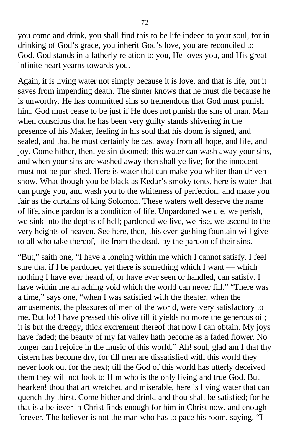you come and drink, you shall find this to be life indeed to your soul, for in drinking of God's grace, you inherit God's love, you are reconciled to God. God stands in a fatherly relation to you, He loves you, and His great infinite heart yearns towards you.

Again, it is living water not simply because it is love, and that is life, but it saves from impending death. The sinner knows that he must die because he is unworthy. He has committed sins so tremendous that God must punish him. God must cease to be just if He does not punish the sins of man. Man when conscious that he has been very guilty stands shivering in the presence of his Maker, feeling in his soul that his doom is signed, and sealed, and that he must certainly be cast away from all hope, and life, and joy. Come hither, then, ye sin-doomed; this water can wash away your sins, and when your sins are washed away then shall ye live; for the innocent must not be punished. Here is water that can make you whiter than driven snow. What though you be black as Kedar's smoky tents, here is water that can purge you, and wash you to the whiteness of perfection, and make you fair as the curtains of king Solomon. These waters well deserve the name of life, since pardon is a condition of life. Unpardoned we die, we perish, we sink into the depths of hell; pardoned we live, we rise, we ascend to the very heights of heaven. See here, then, this ever-gushing fountain will give to all who take thereof, life from the dead, by the pardon of their sins.

"But," saith one, "I have a longing within me which I cannot satisfy. I feel sure that if I be pardoned yet there is something which I want — which nothing I have ever heard of, or have ever seen or handled, can satisfy. I have within me an aching void which the world can never fill." "There was a time," says one, "when I was satisfied with the theater, when the amusements, the pleasures of men of the world, were very satisfactory to me. But lo! I have pressed this olive till it yields no more the generous oil; it is but the dreggy, thick excrement thereof that now I can obtain. My joys have faded; the beauty of my fat valley hath become as a faded flower. No longer can I rejoice in the music of this world." Ah! soul, glad am I that thy cistern has become dry, for till men are dissatisfied with this world they never look out for the next; till the God of this world has utterly deceived them they will not look to Him who is the only living and true God. But hearken! thou that art wretched and miserable, here is living water that can quench thy thirst. Come hither and drink, and thou shalt be satisfied; for he that is a believer in Christ finds enough for him in Christ now, and enough forever. The believer is not the man who has to pace his room, saying, "I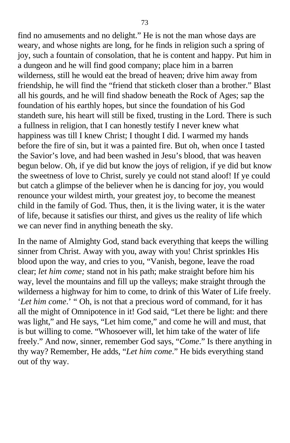find no amusements and no delight." He is not the man whose days are weary, and whose nights are long, for he finds in religion such a spring of joy, such a fountain of consolation, that he is content and happy. Put him in a dungeon and he will find good company; place him in a barren wilderness, still he would eat the bread of heaven; drive him away from friendship, he will find the "friend that sticketh closer than a brother." Blast all his gourds, and he will find shadow beneath the Rock of Ages; sap the foundation of his earthly hopes, but since the foundation of his God standeth sure, his heart will still be fixed, trusting in the Lord. There is such a fullness in religion, that I can honestly testify I never knew what happiness was till I knew Christ; I thought I did. I warmed my hands before the fire of sin, but it was a painted fire. But oh, when once I tasted the Savior's love, and had been washed in Jesu's blood, that was heaven begun below. Oh, if ye did but know the joys of religion, if ye did but know the sweetness of love to Christ, surely ye could not stand aloof! If ye could but catch a glimpse of the believer when he is dancing for joy, you would renounce your wildest mirth, your greatest joy, to become the meanest child in the family of God. Thus, then, it is the living water, it is the water of life, because it satisfies our thirst, and gives us the reality of life which we can never find in anything beneath the sky.

In the name of Almighty God, stand back everything that keeps the willing sinner from Christ. Away with you, away with you! Christ sprinkles His blood upon the way, and cries to you, "Vanish, begone, leave the road clear; *let him come;* stand not in his path; make straight before him his way, level the mountains and fill up the valleys; make straight through the wilderness a highway for him to come, to drink of this Water of Life freely. '*Let him come*.' " Oh, is not that a precious word of command, for it has all the might of Omnipotence in it! God said, "Let there be light: and there was light," and He says, "Let him come," and come he will and must, that is but willing to come. "Whosoever will, let him take of the water of life freely." And now, sinner, remember God says, "*Come*." Is there anything in thy way? Remember, He adds, "*Let him come*." He bids everything stand out of thy way.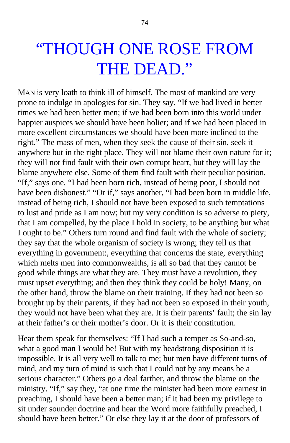## "THOUGH ONE ROSE FROM THE DEAD."

MAN is very loath to think ill of himself. The most of mankind are very prone to indulge in apologies for sin. They say, "If we had lived in better times we had been better men; if we had been born into this world under happier auspices we should have been holier; and if we had been placed in more excellent circumstances we should have been more inclined to the right." The mass of men, when they seek the cause of their sin, seek it anywhere but in the right place. They will not blame their own nature for it; they will not find fault with their own corrupt heart, but they will lay the blame anywhere else. Some of them find fault with their peculiar position. "If," says one, "I had been born rich, instead of being poor, I should not have been dishonest." "Or if," says another, "I had been born in middle life, instead of being rich, I should not have been exposed to such temptations to lust and pride as I am now; but my very condition is so adverse to piety, that I am compelled, by the place I hold in society, to be anything but what I ought to be." Others turn round and find fault with the whole of society; they say that the whole organism of society is wrong; they tell us that everything in government:, everything that concerns the state, everything which melts men into commonwealths, is all so bad that they cannot be good while things are what they are. They must have a revolution, they must upset everything; and then they think they could be holy! Many, on the other hand, throw the blame on their training. If they had not been so brought up by their parents, if they had not been so exposed in their youth, they would not have been what they are. It is their parents' fault; the sin lay at their father's or their mother's door. Or it is their constitution.

Hear them speak for themselves: "If I had such a temper as So-and-so, what a good man I would be! But with my headstrong disposition it is impossible. It is all very well to talk to me; but men have different turns of mind, and my turn of mind is such that I could not by any means be a serious character." Others go a deal farther, and throw the blame on the ministry. "If," say they, "at one time the minister had been more earnest in preaching, I should have been a better man; if it had been my privilege to sit under sounder doctrine and hear the Word more faithfully preached, I should have been better." Or else they lay it at the door of professors of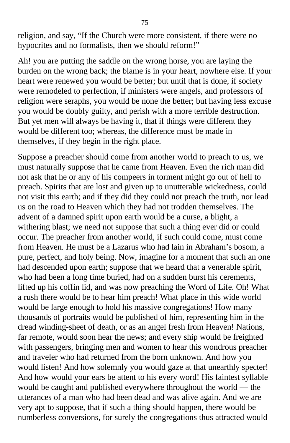religion, and say, "If the Church were more consistent, if there were no hypocrites and no formalists, then we should reform!"

Ah! you are putting the saddle on the wrong horse, you are laying the burden on the wrong back; the blame is in your heart, nowhere else. If your heart were renewed you would be better; but until that is done, if society were remodeled to perfection, if ministers were angels, and professors of religion were seraphs, you would be none the better; but having less excuse you would be doubly guilty, and perish with a more terrible destruction. But yet men will always be having it, that if things were different they would be different too; whereas, the difference must be made in themselves, if they begin in the right place.

Suppose a preacher should come from another world to preach to us, we must naturally suppose that he came from Heaven. Even the rich man did not ask that he or any of his compeers in torment might go out of hell to preach. Spirits that are lost and given up to unutterable wickedness, could not visit this earth; and if they did they could not preach the truth, nor lead us on the road to Heaven which they had not trodden themselves. The advent of a damned spirit upon earth would be a curse, a blight, a withering blast; we need not suppose that such a thing ever did or could occur. The preacher from another world, if such could come, must come from Heaven. He must be a Lazarus who had lain in Abraham's bosom, a pure, perfect, and holy being. Now, imagine for a moment that such an one had descended upon earth; suppose that we heard that a venerable spirit, who had been a long time buried, had on a sudden burst his cerements, lifted up his coffin lid, and was now preaching the Word of Life. Oh! What a rush there would be to hear him preach! What place in this wide world would be large enough to hold his massive congregations! How many thousands of portraits would be published of him, representing him in the dread winding-sheet of death, or as an angel fresh from Heaven! Nations, far remote, would soon hear the news; and every ship would be freighted with passengers, bringing men and women to hear this wondrous preacher and traveler who had returned from the born unknown. And how you would listen! And how solemnly you would gaze at that unearthly specter! And how would your ears be attent to his every word! His faintest syllable would be caught and published everywhere throughout the world — the utterances of a man who had been dead and was alive again. And we are very apt to suppose, that if such a thing should happen, there would be numberless conversions, for surely the congregations thus attracted would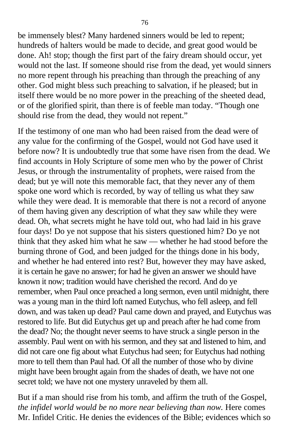be immensely blest? Many hardened sinners would be led to repent; hundreds of halters would be made to decide, and great good would be done. Ah! stop; though the first part of the fairy dream should occur, yet would not the last. If someone should rise from the dead, yet would sinners no more repent through his preaching than through the preaching of any other. God might bless such preaching to salvation, if he pleased; but in itself there would be no more power in the preaching of the sheeted dead, or of the glorified spirit, than there is of feeble man today. "Though one should rise from the dead, they would not repent."

If the testimony of one man who had been raised from the dead were of any value for the confirming of the Gospel, would not God have used it before now? It is undoubtedly true that some have risen from the dead. We find accounts in Holy Scripture of some men who by the power of Christ Jesus, or through the instrumentality of prophets, were raised from the dead; but ye will note this memorable fact, that they never any of them spoke one word which is recorded, by way of telling us what they saw while they were dead. It is memorable that there is not a record of anyone of them having given any description of what they saw while they were dead. Oh, what secrets might he have told out, who had laid in his grave four days! Do ye not suppose that his sisters questioned him? Do ye not think that they asked him what he saw — whether he had stood before the burning throne of God, and been judged for the things done in his body, and whether he had entered into rest? But, however they may have asked, it is certain he gave no answer; for had he given an answer we should have known it now; tradition would have cherished the record. And do ye remember, when Paul once preached a long sermon, even until midnight, there was a young man in the third loft named Eutychus, who fell asleep, and fell down, and was taken up dead? Paul came down and prayed, and Eutychus was restored to life. But did Eutychus get up and preach after he had come from the dead? No; the thought never seems to have struck a single person in the assembly. Paul went on with his sermon, and they sat and listened to him, and did not care one fig about what Eutychus had seen; for Eutychus had nothing more to tell them than Paul had. Of all the number of those who by divine might have been brought again from the shades of death, we have not one secret told; we have not one mystery unraveled by them all.

But if a man should rise from his tomb, and affirm the truth of the Gospel, *the infidel world would be no more near believing than now.* Here comes Mr. Infidel Critic. He denies the evidences of the Bible; evidences which so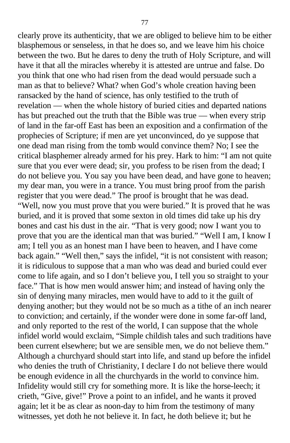clearly prove its authenticity, that we are obliged to believe him to be either blasphemous or senseless, in that he does so, and we leave him his choice between the two. But he dares to deny the truth of Holy Scripture, and will have it that all the miracles whereby it is attested are untrue and false. Do you think that one who had risen from the dead would persuade such a man as that to believe? What? when God's whole creation having been ransacked by the hand of science, has only testified to the truth of revelation — when the whole history of buried cities and departed nations has but preached out the truth that the Bible was true — when every strip of land in the far-off East has been an exposition and a confirmation of the prophecies of Scripture; if men are yet unconvinced, do ye suppose that one dead man rising from the tomb would convince them? No; I see the critical blasphemer already armed for his prey. Hark to him: "I am not quite sure that you ever were dead; sir, you profess to be risen from the dead; I do not believe you. You say you have been dead, and have gone to heaven; my dear man, you were in a trance. You must bring proof from the parish register that you were dead." The proof is brought that he was dead. "Well, now you must prove that you were buried." It is proved that he was buried, and it is proved that some sexton in old times did take up his dry bones and cast his dust in the air. "That is very good; now I want you to prove that you are the identical man that was buried." "Well I am, I know I am; I tell you as an honest man I have been to heaven, and I have come back again." "Well then," says the infidel, "it is not consistent with reason; it is ridiculous to suppose that a man who was dead and buried could ever come to life again, and so I don't believe you, I tell you so straight to your face." That is how men would answer him; and instead of having only the sin of denying many miracles, men would have to add to it the guilt of denying another; but they would not be so much as a tithe of an inch nearer to conviction; and certainly, if the wonder were done in some far-off land, and only reported to the rest of the world, I can suppose that the whole infidel world would exclaim, "Simple childish tales and such traditions have been current elsewhere; but we are sensible men, we do not believe them." Although a churchyard should start into life, and stand up before the infidel who denies the truth of Christianity, I declare I do not believe there would be enough evidence in all the churchyards in the world to convince him. Infidelity would still cry for something more. It is like the horse-leech; it crieth, "Give, give!" Prove a point to an infidel, and he wants it proved again; let it be as clear as noon-day to him from the testimony of many witnesses, yet doth he not believe it. In fact, he doth believe it; but he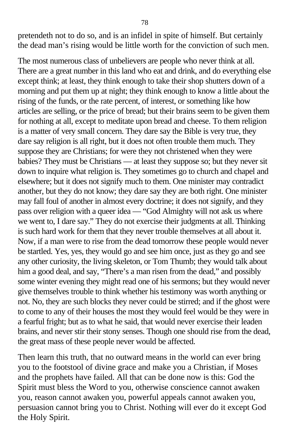pretendeth not to do so, and is an infidel in spite of himself. But certainly the dead man's rising would be little worth for the conviction of such men.

The most numerous class of unbelievers are people who never think at all. There are a great number in this land who eat and drink, and do everything else except think; at least, they think enough to take their shop shutters down of a morning and put them up at night; they think enough to know a little about the rising of the funds, or the rate percent, of interest, or something like how articles are selling, or the price of bread; but their brains seem to be given them for nothing at all, except to meditate upon bread and cheese. To them religion is a matter of very small concern. They dare say the Bible is very true, they dare say religion is all right, but it does not often trouble them much. They suppose they are Christians; for were they not christened when they were babies? They must be Christians — at least they suppose so; but they never sit down to inquire what religion is. They sometimes go to church and chapel and elsewhere; but it does not signify much to them. One minister may contradict another, but they do not know; they dare say they are both right. One minister may fall foul of another in almost every doctrine; it does not signify, and they pass over religion with a queer idea — "God Almighty will not ask us where we went to, I dare say." They do not exercise their judgments at all. Thinking is such hard work for them that they never trouble themselves at all about it. Now, if a man were to rise from the dead tomorrow these people would never be startled. Yes, yes, they would go and see him once, just as they go and see any other curiosity, the living skeleton, or Tom Thumb; they would talk about him a good deal, and say, "There's a man risen from the dead," and possibly some winter evening they might read one of his sermons; but they would never give themselves trouble to think whether his testimony was worth anything or not. No, they are such blocks they never could be stirred; and if the ghost were to come to any of their houses the most they would feel would be they were in a fearful fright; but as to what he said, that would never exercise their leaden brains, and never stir their stony senses. Though one should rise from the dead, the great mass of these people never would be affected.

Then learn this truth, that no outward means in the world can ever bring you to the footstool of divine grace and make you a Christian, if Moses and the prophets have failed. All that can be done now is this: God the Spirit must bless the Word to you, otherwise conscience cannot awaken you, reason cannot awaken you, powerful appeals cannot awaken you, persuasion cannot bring you to Christ. Nothing will ever do it except God the Holy Spirit.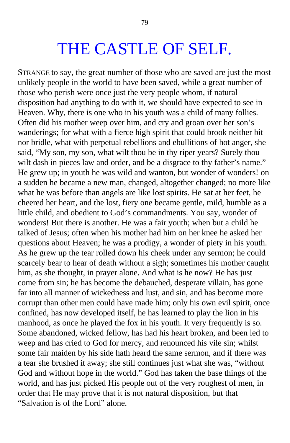## THE CASTLE OF SELF.

STRANGE to say, the great number of those who are saved are just the most unlikely people in the world to have been saved, while a great number of those who perish were once just the very people whom, if natural disposition had anything to do with it, we should have expected to see in Heaven. Why, there is one who in his youth was a child of many follies. Often did his mother weep over him, and cry and groan over her son's wanderings; for what with a fierce high spirit that could brook neither bit nor bridle, what with perpetual rebellions and ebullitions of hot anger, she said, "My son, my son, what wilt thou be in thy riper years? Surely thou wilt dash in pieces law and order, and be a disgrace to thy father's name." He grew up; in youth he was wild and wanton, but wonder of wonders! on a sudden he became a new man, changed, altogether changed; no more like what he was before than angels are like lost spirits. He sat at her feet, he cheered her heart, and the lost, fiery one became gentle, mild, humble as a little child, and obedient to God's commandments. You say, wonder of wonders! But there is another. He was a fair youth; when but a child he talked of Jesus; often when his mother had him on her knee he asked her questions about Heaven; he was a prodigy, a wonder of piety in his youth. As he grew up the tear rolled down his cheek under any sermon; he could scarcely bear to hear of death without a sigh; sometimes his mother caught him, as she thought, in prayer alone. And what is he now? He has just come from sin; he has become the debauched, desperate villain, has gone far into all manner of wickedness and lust, and sin, and has become more corrupt than other men could have made him; only his own evil spirit, once confined, has now developed itself, he has learned to play the lion in his manhood, as once he played the fox in his youth. It very frequently is so. Some abandoned, wicked fellow, has had his heart broken, and been led to weep and has cried to God for mercy, and renounced his vile sin; whilst some fair maiden by his side hath heard the same sermon, and if there was a tear she brushed it away; she still continues just what she was, "without God and without hope in the world." God has taken the base things of the world, and has just picked His people out of the very roughest of men, in order that He may prove that it is not natural disposition, but that "Salvation is of the Lord" alone.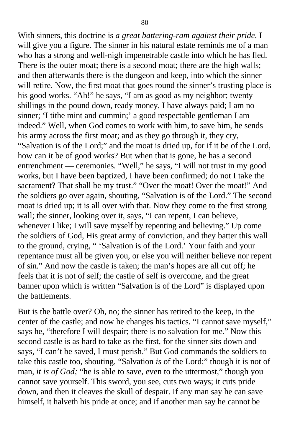With sinners, this doctrine is *a great battering-ram against their pride.* I will give you a figure. The sinner in his natural estate reminds me of a man who has a strong and well-nigh impenetrable castle into which he has fled. There is the outer moat; there is a second moat; there are the high walls; and then afterwards there is the dungeon and keep, into which the sinner will retire. Now, the first moat that goes round the sinner's trusting place is his good works. "Ah!" he says, "I am as good as my neighbor; twenty shillings in the pound down, ready money, I have always paid; I am no sinner; 'I tithe mint and cummin;' a good respectable gentleman I am indeed." Well, when God comes to work with him, to save him, he sends his army across the first moat; and as they go through it, they cry, "Salvation is of the Lord;" and the moat is dried up, for if it be of the Lord, how can it be of good works? But when that is gone, he has a second entrenchment — ceremonies. "Well," he says, "I will not trust in my good works, but I have been baptized, I have been confirmed; do not I take the sacrament? That shall be my trust." "Over the moat! Over the moat!" And the soldiers go over again, shouting, "Salvation is of the Lord." The second moat is dried up; it is all over with that. Now they come to the first strong wall; the sinner, looking over it, says, "I can repent, I can believe, whenever I like; I will save myself by repenting and believing." Up come the soldiers of God, His great army of conviction, and they batter this wall to the ground, crying, " 'Salvation is of the Lord.' Your faith and your repentance must all be given you, or else you will neither believe nor repent of sin." And now the castle is taken; the man's hopes are all cut off; he feels that it is not of self; the castle of self is overcome, and the great banner upon which is written "Salvation is of the Lord" is displayed upon the battlements.

But is the battle over? Oh, no; the sinner has retired to the keep, in the center of the castle; and now he changes his tactics. "I cannot save myself," says he, "therefore I will despair; there is no salvation for me." Now this second castle is as hard to take as the first, for the sinner sits down and says, "I can't be saved, I must perish." But God commands the soldiers to take this castle too, shouting, "Salvation *is* of the Lord;" though it is not of man, *it is of God;* "he is able to save, even to the uttermost," though you cannot save yourself. This sword, you see, cuts two ways; it cuts pride down, and then it cleaves the skull of despair. If any man say he can save himself, it halveth his pride at once; and if another man say he cannot be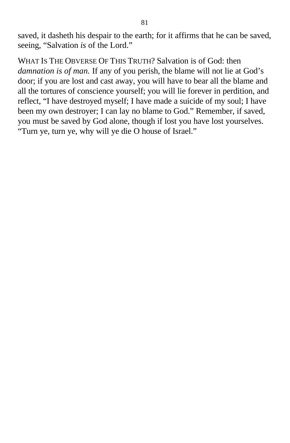saved, it dasheth his despair to the earth; for it affirms that he can be saved, seeing, "Salvation *is* of the Lord."

WHAT IS THE OBVERSE OF THIS TRUTH? Salvation is of God: then *damnation is of man.* If any of you perish, the blame will not lie at God's door; if you are lost and cast away, you will have to bear all the blame and all the tortures of conscience yourself; you will lie forever in perdition, and reflect, "I have destroyed myself; I have made a suicide of my soul; I have been my own destroyer; I can lay no blame to God." Remember, if saved, you must be saved by God alone, though if lost you have lost yourselves. "Turn ye, turn ye, why will ye die O house of Israel."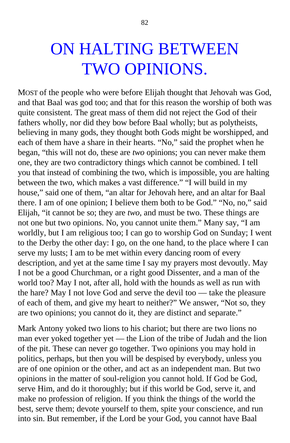## ON HALTING BETWEEN TWO OPINIONS.

MOST of the people who were before Elijah thought that Jehovah was God, and that Baal was god too; and that for this reason the worship of both was quite consistent. The great mass of them did not reject the God of their fathers wholly, nor did they bow before Baal wholly; but as polytheists, believing in many gods, they thought both Gods might be worshipped, and each of them have a share in their hearts. "No," said the prophet when he began, "this will not do, these are *two* opinions; you can never make them one, they are two contradictory things which cannot be combined. I tell you that instead of combining the two, which is impossible, you are halting between the two, which makes a vast difference." "I will build in my house," said one of them, "an altar for Jehovah here, and an altar for Baal there. I am of one opinion; I believe them both to be God." "No, no," said Elijah, "it cannot be so; they are *two,* and must be two. These things are not one but two opinions. No, you cannot unite them." Many say, "I am worldly, but I am religious too; I can go to worship God on Sunday; I went to the Derby the other day: I go, on the one hand, to the place where I can serve my lusts; I am to be met within every dancing room of every description, and yet at the same time I say my prayers most devoutly. May I not be a good Churchman, or a right good Dissenter, and a man of the world too? May I not, after all, hold with the hounds as well as run with the hare? May I not love God and serve the devil too — take the pleasure of each of them, and give my heart to neither?" We answer, "Not so, they are two opinions; you cannot do it, they are distinct and separate."

Mark Antony yoked two lions to his chariot; but there are two lions no man ever yoked together yet — the Lion of the tribe of Judah and the lion of the pit. These can never go together. Two opinions you may hold in politics, perhaps, but then you will be despised by everybody, unless you are of one opinion or the other, and act as an independent man. But two opinions in the matter of soul-religion you cannot hold. If God be God, serve Him, and do it thoroughly; but if this world be God, serve it, and make no profession of religion. If you think the things of the world the best, serve them; devote yourself to them, spite your conscience, and run into sin. But remember, if the Lord be your God, you cannot have Baal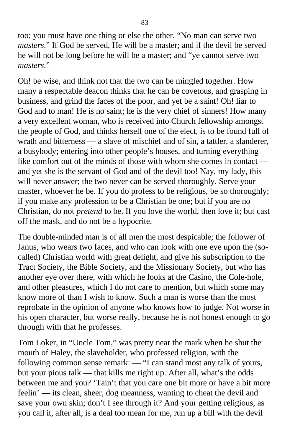too; you must have one thing or else the other. "No man can serve two *masters*." If God be served, He will be a master; and if the devil be served he will not be long before he will be a master; and "ye cannot serve two *masters*."

Oh! be wise, and think not that the two can be mingled together. How many a respectable deacon thinks that he can be covetous, and grasping in business, and grind the faces of the poor, and yet be a saint! Oh! liar to God and to man! He is no saint; he is the very chief of sinners! How many a very excellent woman, who is received into Church fellowship amongst the people of God, and thinks herself one of the elect, is to be found full of wrath and bitterness — a slave of mischief and of sin, a tattler, a slanderer, a busybody; entering into other people's houses, and turning everything like comfort out of the minds of those with whom she comes in contact and yet she is the servant of God and of the devil too! Nay, my lady, this will never answer; the two never can be served thoroughly. Serve your master, whoever he be. If you do profess to be religious, be so thoroughly; if you make any profession to be a Christian be one; but if you are no Christian, do not *pretend* to be. If you love the world, then love it; but cast off the mask, and do not be a hypocrite.

The double-minded man is of all men the most despicable; the follower of Janus, who wears two faces, and who can look with one eye upon the (socalled) Christian world with great delight, and give his subscription to the Tract Society, the Bible Society, and the Missionary Society, but who has another eye over there, with which he looks at the Casino, the Cole-hole, and other pleasures, which I do not care to mention, but which some may know more of than I wish to know. Such a man is worse than the most reprobate in the opinion of anyone who knows how to judge. Not worse in his open character, but worse really, because he is not honest enough to go through with that he professes.

Tom Loker, in "Uncle Tom," was pretty near the mark when he shut the mouth of Haley, the slaveholder, who professed religion, with the following common sense remark: — "I can stand most any talk of yours, but your pious talk — that kills me right up. After all, what's the odds between me and you? 'Tain't that you care one bit more or have a bit more feelin' — its clean, sheer, dog meanness, wanting to cheat the devil and save your own skin; don't I see through it? And your getting religious, as you call it, after all, is a deal too mean for me, run up a bill with the devil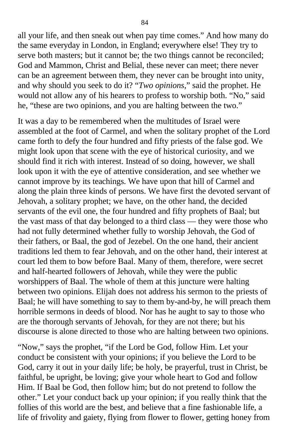all your life, and then sneak out when pay time comes." And how many do the same everyday in London, in England; everywhere else! They try to serve both masters; but it cannot be; the two things cannot be reconciled; God and Mammon, Christ and Belial, these never can meet; there never can be an agreement between them, they never can be brought into unity, and why should you seek to do it? "*Two opinions*," said the prophet. He would not allow any of his hearers to profess to worship both. "No," said he, "these are two opinions, and you are halting between the two."

It was a day to be remembered when the multitudes of Israel were assembled at the foot of Carmel, and when the solitary prophet of the Lord came forth to defy the four hundred and fifty priests of the false god. We might look upon that scene with the eye of historical curiosity, and we should find it rich with interest. Instead of so doing, however, we shall look upon it with the eye of attentive consideration, and see whether we cannot improve by its teachings. We have upon that hill of Carmel and along the plain three kinds of persons. We have first the devoted servant of Jehovah, a solitary prophet; we have, on the other hand, the decided servants of the evil one, the four hundred and fifty prophets of Baal; but the vast mass of that day belonged to a third class — they were those who had not fully determined whether fully to worship Jehovah, the God of their fathers, or Baal, the god of Jezebel. On the one hand, their ancient traditions led them to fear Jehovah, and on the other hand, their interest at court led them to bow before Baal. Many of them, therefore, were secret and half-hearted followers of Jehovah, while they were the public worshippers of Baal. The whole of them at this juncture were halting between two opinions. Elijah does not address his sermon to the priests of Baal; he will have something to say to them by-and-by, he will preach them horrible sermons in deeds of blood. Nor has he aught to say to those who are the thorough servants of Jehovah, for they are not there; but his discourse is alone directed to those who are halting between two opinions.

"Now," says the prophet, "if the Lord be God, follow Him. Let your conduct be consistent with your opinions; if you believe the Lord to be God, carry it out in your daily life; be holy, be prayerful, trust in Christ, be faithful, be upright, be loving; give your whole heart to God and follow Him. If Baal be God, then follow him; but do not pretend to follow the other." Let your conduct back up your opinion; if you really think that the follies of this world are the best, and believe that a fine fashionable life, a life of frivolity and gaiety, flying from flower to flower, getting honey from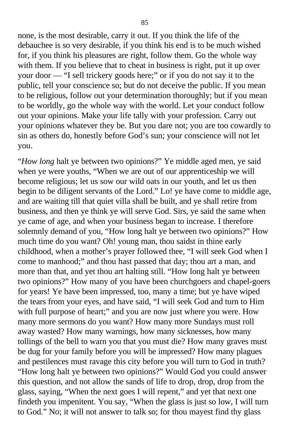none, is the most desirable, carry it out. If you think the life of the debauchee is so very desirable, if you think his end is to be much wished for, if you think his pleasures are right, follow them. Go the whole way with them. If you believe that to cheat in business is right, put it up over your door — "I sell trickery goods here;" or if you do not say it to the public, tell your conscience so; but do not deceive the public. If you mean to be religious, follow out your determination thoroughly; but if you mean to be worldly, go the whole way with the world. Let your conduct follow out your opinions. Make your life tally with your profession. Carry out your opinions whatever they be. But you dare not; you are too cowardly to sin as others do, honestly before God's sun; your conscience will not let you.

"*How long* halt ye between two opinions?" Ye middle aged men, ye said when ye were youths, "When we are out of our apprenticeship we will become religious; let us sow our wild oats in our youth, and let us then begin to be diligent servants of the Lord." Lo! ye have come to middle age, and are waiting till that quiet villa shall be built, and ye shall retire from business, and then ye think ye will serve God. Sirs, ye said the same when ye came of age, and when your business began to increase. I therefore solemnly demand of you, "How long halt ye between two opinions?" How much time do you want? Oh! young man, thou saidst in thine early childhood, when a mother's prayer followed thee, "I will seek God when I come to manhood;" and thou hast passed that day; thou art a man, and more than that, and yet thou art halting still. "How long halt ye between two opinions?" How many of you have been churchgoers and chapel-goers for years! Ye have been impressed, too, many a time; but ye have wiped the tears from your eyes, and have said, "I will seek God and turn to Him with full purpose of heart;" and you are now just where you were. How many more sermons do you want? How many more Sundays must roll away wasted? How many warnings, how many sicknesses, how many tollings of the bell to warn you that you must die? How many graves must be dug for your family before you will be impressed? How many plagues and pestilences must ravage this city before you will turn to God in truth? "How long halt ye between two opinions?" Would God you could answer this question, and not allow the sands of life to drop, drop, drop from the glass, saying, "When the next goes I will repent," and yet that next one findeth you impenitent. You say, "When the glass is just so low, I will turn to God." No; it will not answer to talk so; for thou mayest find thy glass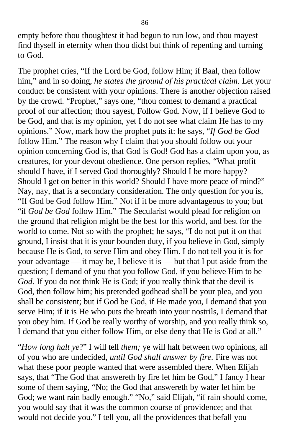empty before thou thoughtest it had begun to run low, and thou mayest find thyself in eternity when thou didst but think of repenting and turning to God.

The prophet cries, "If the Lord be God, follow Him; if Baal, then follow him," and in so doing, *he states the ground of his practical claim.* Let your conduct be consistent with your opinions. There is another objection raised by the crowd. "Prophet," says one, "thou comest to demand a practical proof of our affection; thou sayest, Follow God. Now, if I believe God to be God, and that is my opinion, yet I do not see what claim He has to my opinions." Now, mark how the prophet puts it: he says, "*If God be God* follow Him." The reason why I claim that you should follow out your opinion concerning God is, that God is God! God has a claim upon you, as creatures, for your devout obedience. One person replies, "What profit should I have, if I served God thoroughly? Should I be more happy? Should I get on better in this world? Should I have more peace of mind?" Nay, nay, that is a secondary consideration. The only question for you is, "If God be God follow Him." Not if it be more advantageous to you; but "if *God be God* follow Him." The Secularist would plead for religion on the ground that religion might be the best for this world, and best for the world to come. Not so with the prophet; he says, "I do not put it on that ground, I insist that it is your bounden duty, if you believe in God, simply because He is God, to serve Him and obey Him. I do not tell you it is for your advantage — it may be, I believe it is — but that I put aside from the question; I demand of you that you follow God, if you believe Him to be *God.* If you do not think He is God; if you really think that the devil is God, then follow him; his pretended godhead shall be your plea, and you shall be consistent; but if God be God, if He made you, I demand that you serve Him; if it is He who puts the breath into your nostrils, I demand that you obey him. If God be really worthy of worship, and you really think so, I demand that you either follow Him, or else deny that He is God at all."

"*How long halt ye*?" I will tell *them;* ye will halt between two opinions, all of you who are undecided, *until God shall answer by fire.* Fire was not what these poor people wanted that were assembled there. When Elijah says, that "The God that answereth by fire let him be God," I fancy I hear some of them saying, "No; the God that answereth by water let him be God; we want rain badly enough." "No," said Elijah, "if rain should come, you would say that it was the common course of providence; and that would not decide you." I tell you, all the providences that befall you